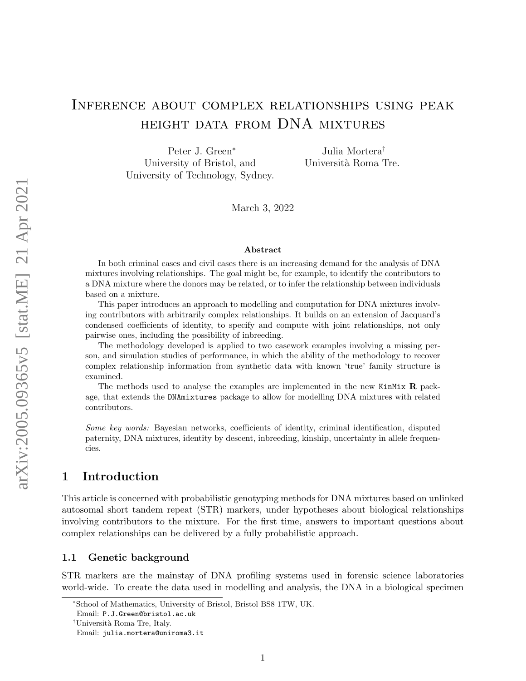# Inference about complex relationships using peak height data from DNA mixtures

Peter J. Green<sup>∗</sup> University of Bristol, and University of Technology, Sydney.

Julia Mortera† Università Roma Tre.

March 3, 2022

#### Abstract

In both criminal cases and civil cases there is an increasing demand for the analysis of DNA mixtures involving relationships. The goal might be, for example, to identify the contributors to a DNA mixture where the donors may be related, or to infer the relationship between individuals based on a mixture.

This paper introduces an approach to modelling and computation for DNA mixtures involving contributors with arbitrarily complex relationships. It builds on an extension of Jacquard's condensed coefficients of identity, to specify and compute with joint relationships, not only pairwise ones, including the possibility of inbreeding.

The methodology developed is applied to two casework examples involving a missing person, and simulation studies of performance, in which the ability of the methodology to recover complex relationship information from synthetic data with known 'true' family structure is examined.

The methods used to analyse the examples are implemented in the new KinMix R package, that extends the DNAmixtures package to allow for modelling DNA mixtures with related contributors.

Some key words: Bayesian networks, coefficients of identity, criminal identification, disputed paternity, DNA mixtures, identity by descent, inbreeding, kinship, uncertainty in allele frequencies.

### 1 Introduction

This article is concerned with probabilistic genotyping methods for DNA mixtures based on unlinked autosomal short tandem repeat (STR) markers, under hypotheses about biological relationships involving contributors to the mixture. For the first time, answers to important questions about complex relationships can be delivered by a fully probabilistic approach.

### 1.1 Genetic background

STR markers are the mainstay of DNA profiling systems used in forensic science laboratories world-wide. To create the data used in modelling and analysis, the DNA in a biological specimen

<sup>∗</sup>School of Mathematics, University of Bristol, Bristol BS8 1TW, UK.

Email: P.J.Green@bristol.ac.uk

<sup>&</sup>lt;sup>†</sup>Università Roma Tre, Italy.

Email: julia.mortera@uniroma3.it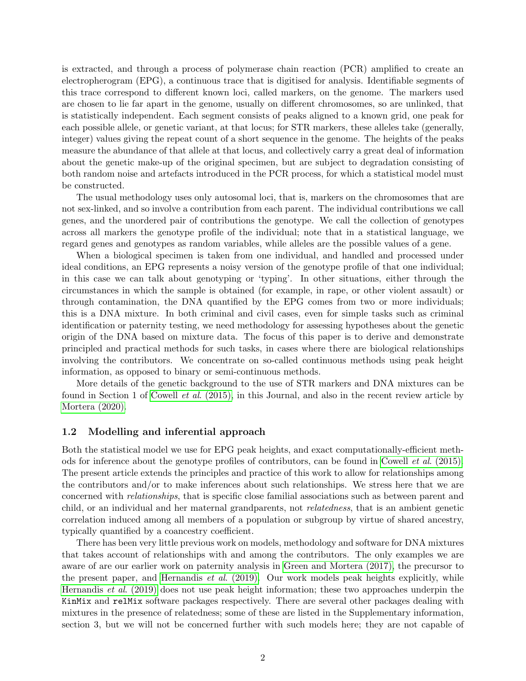is extracted, and through a process of polymerase chain reaction (PCR) amplified to create an electropherogram (EPG), a continuous trace that is digitised for analysis. Identifiable segments of this trace correspond to different known loci, called markers, on the genome. The markers used are chosen to lie far apart in the genome, usually on different chromosomes, so are unlinked, that is statistically independent. Each segment consists of peaks aligned to a known grid, one peak for each possible allele, or genetic variant, at that locus; for STR markers, these alleles take (generally, integer) values giving the repeat count of a short sequence in the genome. The heights of the peaks measure the abundance of that allele at that locus, and collectively carry a great deal of information about the genetic make-up of the original specimen, but are subject to degradation consisting of both random noise and artefacts introduced in the PCR process, for which a statistical model must be constructed.

The usual methodology uses only autosomal loci, that is, markers on the chromosomes that are not sex-linked, and so involve a contribution from each parent. The individual contributions we call genes, and the unordered pair of contributions the genotype. We call the collection of genotypes across all markers the genotype profile of the individual; note that in a statistical language, we regard genes and genotypes as random variables, while alleles are the possible values of a gene.

When a biological specimen is taken from one individual, and handled and processed under ideal conditions, an EPG represents a noisy version of the genotype profile of that one individual; in this case we can talk about genotyping or 'typing'. In other situations, either through the circumstances in which the sample is obtained (for example, in rape, or other violent assault) or through contamination, the DNA quantified by the EPG comes from two or more individuals; this is a DNA mixture. In both criminal and civil cases, even for simple tasks such as criminal identification or paternity testing, we need methodology for assessing hypotheses about the genetic origin of the DNA based on mixture data. The focus of this paper is to derive and demonstrate principled and practical methods for such tasks, in cases where there are biological relationships involving the contributors. We concentrate on so-called continuous methods using peak height information, as opposed to binary or semi-continuous methods.

More details of the genetic background to the use of STR markers and DNA mixtures can be found in Section 1 of Cowell et al[. \(2015\),](#page-32-0) in this Journal, and also in the recent review article by [Mortera \(2020\).](#page-33-0)

### 1.2 Modelling and inferential approach

Both the statistical model we use for EPG peak heights, and exact computationally-efficient methods for inference about the genotype profiles of contributors, can be found in Cowell et al[. \(2015\).](#page-32-0) The present article extends the principles and practice of this work to allow for relationships among the contributors and/or to make inferences about such relationships. We stress here that we are concerned with relationships, that is specific close familial associations such as between parent and child, or an individual and her maternal grandparents, not relatedness, that is an ambient genetic correlation induced among all members of a population or subgroup by virtue of shared ancestry, typically quantified by a coancestry coefficient.

There has been very little previous work on models, methodology and software for DNA mixtures that takes account of relationships with and among the contributors. The only examples we are aware of are our earlier work on paternity analysis in [Green and Mortera \(2017\),](#page-33-1) the precursor to the present paper, and [Hernandis](#page-33-2) et al. (2019). Our work models peak heights explicitly, while [Hernandis](#page-33-2) et al. (2019) does not use peak height information; these two approaches underpin the KinMix and relMix software packages respectively. There are several other packages dealing with mixtures in the presence of relatedness; some of these are listed in the Supplementary information, section 3, but we will not be concerned further with such models here; they are not capable of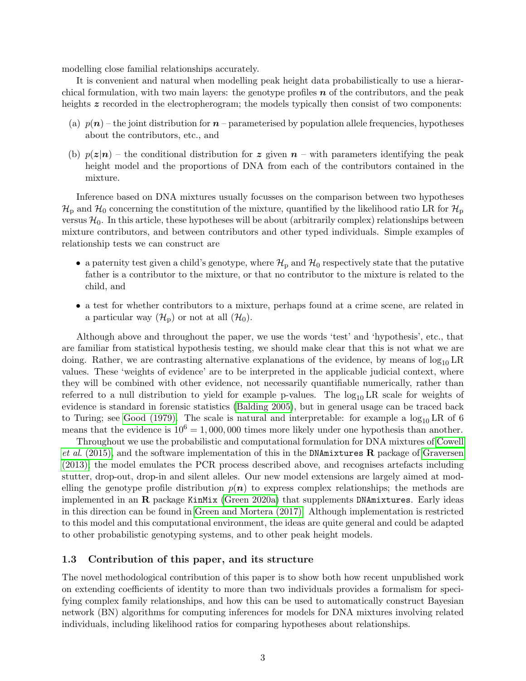modelling close familial relationships accurately.

It is convenient and natural when modelling peak height data probabilistically to use a hierarchical formulation, with two main layers: the genotype profiles  $n$  of the contributors, and the peak heights z recorded in the electropherogram; the models typically then consist of two components:

- (a)  $p(n)$  the joint distribution for  $n$  parameterised by population allele frequencies, hypotheses about the contributors, etc., and
- (b)  $p(z|\mathbf{n})$  the conditional distribution for z given  $\mathbf{n}$  with parameters identifying the peak height model and the proportions of DNA from each of the contributors contained in the mixture.

Inference based on DNA mixtures usually focusses on the comparison between two hypotheses  $\mathcal{H}_p$  and  $\mathcal{H}_0$  concerning the constitution of the mixture, quantified by the likelihood ratio LR for  $\mathcal{H}_p$ versus  $\mathcal{H}_0$ . In this article, these hypotheses will be about (arbitrarily complex) relationships between mixture contributors, and between contributors and other typed individuals. Simple examples of relationship tests we can construct are

- a paternity test given a child's genotype, where  $\mathcal{H}_p$  and  $\mathcal{H}_0$  respectively state that the putative father is a contributor to the mixture, or that no contributor to the mixture is related to the child, and
- a test for whether contributors to a mixture, perhaps found at a crime scene, are related in a particular way  $(\mathcal{H}_p)$  or not at all  $(\mathcal{H}_0)$ .

Although above and throughout the paper, we use the words 'test' and 'hypothesis', etc., that are familiar from statistical hypothesis testing, we should make clear that this is not what we are doing. Rather, we are contrasting alternative explanations of the evidence, by means of  $\log_{10} \text{LR}$ values. These 'weights of evidence' are to be interpreted in the applicable judicial context, where they will be combined with other evidence, not necessarily quantifiable numerically, rather than referred to a null distribution to yield for example p-values. The  $log_{10}LR$  scale for weights of evidence is standard in forensic statistics [\(Balding 2005\)](#page-32-1), but in general usage can be traced back to Turing; see [Good \(1979\).](#page-32-2) The scale is natural and interpretable: for example a  $\log_{10}$  LR of 6 means that the evidence is  $10^6 = 1,000,000$  times more likely under one hypothesis than another.

Throughout we use the probabilistic and computational formulation for DNA mixtures of [Cowell](#page-32-0) et al[. \(2015\),](#page-32-0) and the software implementation of this in the DNAmixtures R package of [Graversen](#page-32-3) [\(2013\);](#page-32-3) the model emulates the PCR process described above, and recognises artefacts including stutter, drop-out, drop-in and silent alleles. Our new model extensions are largely aimed at modelling the genotype profile distribution  $p(n)$  to express complex relationships; the methods are implemented in an  $\bf{R}$  package KinMix [\(Green 2020a\)](#page-32-4) that supplements DNAmixtures. Early ideas in this direction can be found in [Green and Mortera \(2017\).](#page-33-1) Although implementation is restricted to this model and this computational environment, the ideas are quite general and could be adapted to other probabilistic genotyping systems, and to other peak height models.

### 1.3 Contribution of this paper, and its structure

The novel methodological contribution of this paper is to show both how recent unpublished work on extending coefficients of identity to more than two individuals provides a formalism for specifying complex family relationships, and how this can be used to automatically construct Bayesian network (BN) algorithms for computing inferences for models for DNA mixtures involving related individuals, including likelihood ratios for comparing hypotheses about relationships.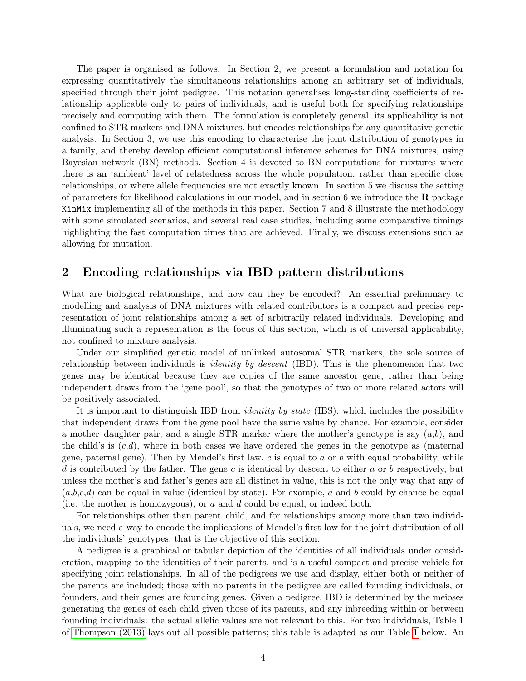The paper is organised as follows. In Section 2, we present a formulation and notation for expressing quantitatively the simultaneous relationships among an arbitrary set of individuals, specified through their joint pedigree. This notation generalises long-standing coefficients of relationship applicable only to pairs of individuals, and is useful both for specifying relationships precisely and computing with them. The formulation is completely general, its applicability is not confined to STR markers and DNA mixtures, but encodes relationships for any quantitative genetic analysis. In Section 3, we use this encoding to characterise the joint distribution of genotypes in a family, and thereby develop efficient computational inference schemes for DNA mixtures, using Bayesian network (BN) methods. Section 4 is devoted to BN computations for mixtures where there is an 'ambient' level of relatedness across the whole population, rather than specific close relationships, or where allele frequencies are not exactly known. In section 5 we discuss the setting of parameters for likelihood calculations in our model, and in section 6 we introduce the  $\bf{R}$  package KinMix implementing all of the methods in this paper. Section 7 and 8 illustrate the methodology with some simulated scenarios, and several real case studies, including some comparative timings highlighting the fast computation times that are achieved. Finally, we discuss extensions such as allowing for mutation.

### 2 Encoding relationships via IBD pattern distributions

What are biological relationships, and how can they be encoded? An essential preliminary to modelling and analysis of DNA mixtures with related contributors is a compact and precise representation of joint relationships among a set of arbitrarily related individuals. Developing and illuminating such a representation is the focus of this section, which is of universal applicability, not confined to mixture analysis.

Under our simplified genetic model of unlinked autosomal STR markers, the sole source of relationship between individuals is *identity by descent* (IBD). This is the phenomenon that two genes may be identical because they are copies of the same ancestor gene, rather than being independent draws from the 'gene pool', so that the genotypes of two or more related actors will be positively associated.

It is important to distinguish IBD from *identity by state* (IBS), which includes the possibility that independent draws from the gene pool have the same value by chance. For example, consider a mother–daughter pair, and a single STR marker where the mother's genotype is say  $(a,b)$ , and the child's is  $(c,d)$ , where in both cases we have ordered the genes in the genotype as (maternal gene, paternal gene). Then by Mendel's first law,  $c$  is equal to  $a$  or  $b$  with equal probability, while d is contributed by the father. The gene c is identical by descent to either a or b respectively, but unless the mother's and father's genes are all distinct in value, this is not the only way that any of  $(a,b,c,d)$  can be equal in value (identical by state). For example, a and b could by chance be equal (i.e. the mother is homozygous), or  $a$  and  $d$  could be equal, or indeed both.

For relationships other than parent–child, and for relationships among more than two individuals, we need a way to encode the implications of Mendel's first law for the joint distribution of all the individuals' genotypes; that is the objective of this section.

A pedigree is a graphical or tabular depiction of the identities of all individuals under consideration, mapping to the identities of their parents, and is a useful compact and precise vehicle for specifying joint relationships. In all of the pedigrees we use and display, either both or neither of the parents are included; those with no parents in the pedigree are called founding individuals, or founders, and their genes are founding genes. Given a pedigree, IBD is determined by the meioses generating the genes of each child given those of its parents, and any inbreeding within or between founding individuals: the actual allelic values are not relevant to this. For two individuals, Table 1 of [Thompson \(2013\)](#page-33-3) lays out all possible patterns; this table is adapted as our Table [1](#page-4-0) below. An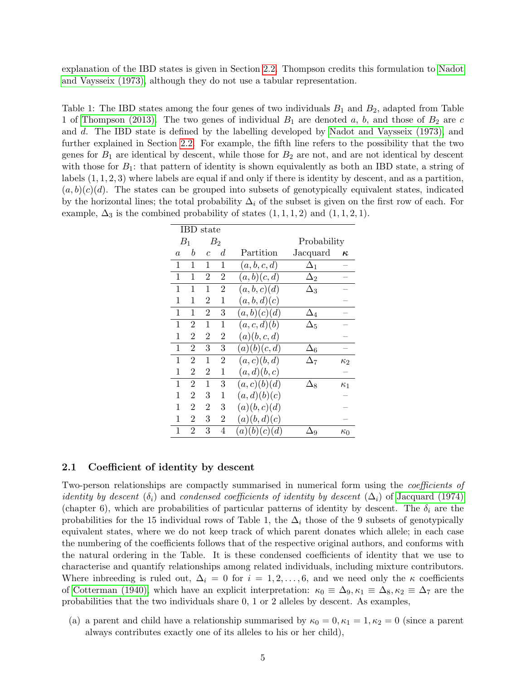explanation of the IBD states is given in Section [2.2.](#page-6-0) Thompson credits this formulation to [Nadot](#page-33-4) [and Vaysseix \(1973\),](#page-33-4) although they do not use a tabular representation.

<span id="page-4-0"></span>Table 1: The IBD states among the four genes of two individuals  $B_1$  and  $B_2$ , adapted from Table 1 of [Thompson \(2013\).](#page-33-3) The two genes of individual  $B_1$  are denoted a, b, and those of  $B_2$  are c and d. The IBD state is defined by the labelling developed by [Nadot and Vaysseix \(1973\),](#page-33-4) and further explained in Section [2.2.](#page-6-0) For example, the fifth line refers to the possibility that the two genes for  $B_1$  are identical by descent, while those for  $B_2$  are not, and are not identical by descent with those for  $B_1$ : that pattern of identity is shown equivalently as both an IBD state, a string of labels  $(1, 1, 2, 3)$  where labels are equal if and only if there is identity by descent, and as a partition,  $(a, b)(c)(d)$ . The states can be grouped into subsets of genotypically equivalent states, indicated by the horizontal lines; the total probability  $\Delta_i$  of the subset is given on the first row of each. For example,  $\Delta_3$  is the combined probability of states  $(1, 1, 1, 2)$  and  $(1, 1, 2, 1)$ .

|                | <b>IBD</b> state |                |                |              |             |            |
|----------------|------------------|----------------|----------------|--------------|-------------|------------|
| $B_1$          |                  |                | $B_{2}$        |              | Probability |            |
| $\overline{a}$ | b                | $\overline{c}$ | d              | Partition    | Jacquard    | ĸ,         |
| 1              | 1                | 1              | 1              | (a, b, c, d) | $\Delta_1$  |            |
| 1              | 1                | $\overline{2}$ | 2              | (a,b)(c,d)   | $\Delta_2$  |            |
| 1              | 1                | 1              | $\overline{2}$ | (a,b,c)(d)   | $\Delta_3$  |            |
| 1              | 1                | 2              | 1              | (a,b,d)(c)   |             |            |
| 1              | 1                | 2              | 3              | (a,b)(c)(d)  | $\Delta_4$  |            |
| 1              | $\overline{2}$   | 1              | 1              | (a, c, d)(b) | $\Delta_5$  |            |
| 1              | $\overline{2}$   | $\overline{2}$ | 2              | (a)(b, c, d) |             |            |
| 1              | $\overline{2}$   | 3              | 3              | (a)(b)(c,d)  | $\Delta_6$  |            |
| 1              | 2                | 1              | 2              | (a,c)(b,d)   | $\Delta_7$  | Κ2         |
| 1              | $\overline{2}$   | 2              | 1              | (a,d)(b,c)   |             |            |
| 1              | $\overline{2}$   | 1              | 3              | (a,c)(b)(d)  | $\Delta_8$  | $\kappa_1$ |
| 1              | 2                | 3              | 1              | (a,d)(b)(c)  |             |            |
| 1              | $\overline{2}$   | 2              | 3              | (a)(b,c)(d)  |             |            |
| 1              | $\overline{2}$   | 3              | 2              | (a)(b,d)(c)  |             |            |
| 1              | $\overline{2}$   | 3              | 4              | (a)(b)(c)(d) | ١q          | $\kappa_0$ |

#### <span id="page-4-1"></span>2.1 Coefficient of identity by descent

Two-person relationships are compactly summarised in numerical form using the coefficients of identity by descent  $(\delta_i)$  and condensed coefficients of identity by descent  $(\Delta_i)$  of [Jacquard \(1974\)](#page-33-5) (chapter 6), which are probabilities of particular patterns of identity by descent. The  $\delta_i$  are the probabilities for the 15 individual rows of Table 1, the  $\Delta_i$  those of the 9 subsets of genotypically equivalent states, where we do not keep track of which parent donates which allele; in each case the numbering of the coefficients follows that of the respective original authors, and conforms with the natural ordering in the Table. It is these condensed coefficients of identity that we use to characterise and quantify relationships among related individuals, including mixture contributors. Where inbreeding is ruled out,  $\Delta_i = 0$  for  $i = 1, 2, \ldots, 6$ , and we need only the  $\kappa$  coefficients of [Cotterman \(1940\),](#page-32-5) which have an explicit interpretation:  $\kappa_0 \equiv \Delta_9, \kappa_1 \equiv \Delta_8, \kappa_2 \equiv \Delta_7$  are the probabilities that the two individuals share 0, 1 or 2 alleles by descent. As examples,

(a) a parent and child have a relationship summarised by  $\kappa_0 = 0, \kappa_1 = 1, \kappa_2 = 0$  (since a parent always contributes exactly one of its alleles to his or her child),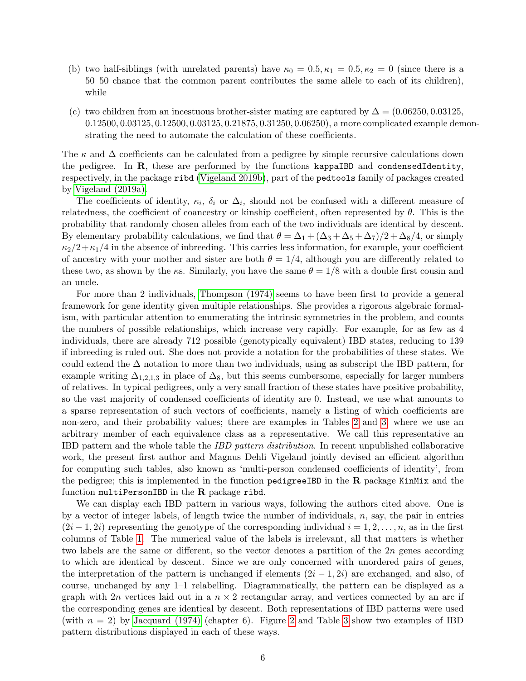- (b) two half-siblings (with unrelated parents) have  $\kappa_0 = 0.5, \kappa_1 = 0.5, \kappa_2 = 0$  (since there is a 50–50 chance that the common parent contributes the same allele to each of its children), while
- (c) two children from an incestuous brother-sister mating are captured by  $\Delta = (0.06250, 0.03125,$ 0.12500, 0.03125, 0.12500, 0.03125, 0.21875, 0.31250, 0.06250), a more complicated example demonstrating the need to automate the calculation of these coefficients.

The  $\kappa$  and  $\Delta$  coefficients can be calculated from a pedigree by simple recursive calculations down the pedigree. In  $R$ , these are performed by the functions kappaIBD and condensedIdentity, respectively, in the package ribd [\(Vigeland 2019b\)](#page-33-6), part of the pedtools family of packages created by [Vigeland \(2019a\).](#page-33-7)

The coefficients of identity,  $\kappa_i$ ,  $\delta_i$  or  $\Delta_i$ , should not be confused with a different measure of relatedness, the coefficient of coancestry or kinship coefficient, often represented by  $\theta$ . This is the probability that randomly chosen alleles from each of the two individuals are identical by descent. By elementary probability calculations, we find that  $\theta = \Delta_1 + (\Delta_3 + \Delta_5 + \Delta_7)/2 + \Delta_8/4$ , or simply  $\kappa_2/2+\kappa_1/4$  in the absence of inbreeding. This carries less information, for example, your coefficient of ancestry with your mother and sister are both  $\theta = 1/4$ , although you are differently related to these two, as shown by the ks. Similarly, you have the same  $\theta = 1/8$  with a double first cousin and an uncle.

For more than 2 individuals, [Thompson \(1974\)](#page-33-8) seems to have been first to provide a general framework for gene identity given multiple relationships. She provides a rigorous algebraic formalism, with particular attention to enumerating the intrinsic symmetries in the problem, and counts the numbers of possible relationships, which increase very rapidly. For example, for as few as 4 individuals, there are already 712 possible (genotypically equivalent) IBD states, reducing to 139 if inbreeding is ruled out. She does not provide a notation for the probabilities of these states. We could extend the  $\Delta$  notation to more than two individuals, using as subscript the IBD pattern, for example writing  $\Delta_{1,2,1,3}$  in place of  $\Delta_8$ , but this seems cumbersome, especially for larger numbers of relatives. In typical pedigrees, only a very small fraction of these states have positive probability, so the vast majority of condensed coefficients of identity are 0. Instead, we use what amounts to a sparse representation of such vectors of coefficients, namely a listing of which coefficients are non-zero, and their probability values; there are examples in Tables [2](#page-6-1) and [3,](#page-7-0) where we use an arbitrary member of each equivalence class as a representative. We call this representative an IBD pattern and the whole table the IBD pattern distribution. In recent unpublished collaborative work, the present first author and Magnus Dehli Vigeland jointly devised an efficient algorithm for computing such tables, also known as 'multi-person condensed coefficients of identity', from the pedigree; this is implemented in the function pedigreeIBD in the R package KinMix and the function multiPersonIBD in the  $R$  package ribd.

We can display each IBD pattern in various ways, following the authors cited above. One is by a vector of integer labels, of length twice the number of individuals,  $n$ , say, the pair in entries  $(2i-1, 2i)$  representing the genotype of the corresponding individual  $i = 1, 2, \ldots, n$ , as in the first columns of Table [1.](#page-4-0) The numerical value of the labels is irrelevant, all that matters is whether two labels are the same or different, so the vector denotes a partition of the 2n genes according to which are identical by descent. Since we are only concerned with unordered pairs of genes, the interpretation of the pattern is unchanged if elements  $(2i - 1, 2i)$  are exchanged, and also, of course, unchanged by any 1–1 relabelling. Diagrammatically, the pattern can be displayed as a graph with 2n vertices laid out in a  $n \times 2$  rectangular array, and vertices connected by an arc if the corresponding genes are identical by descent. Both representations of IBD patterns were used (with  $n = 2$  $n = 2$ ) by [Jacquard \(1974\)](#page-33-5) (chapter 6). Figure 2 and Table [3](#page-7-0) show two examples of IBD pattern distributions displayed in each of these ways.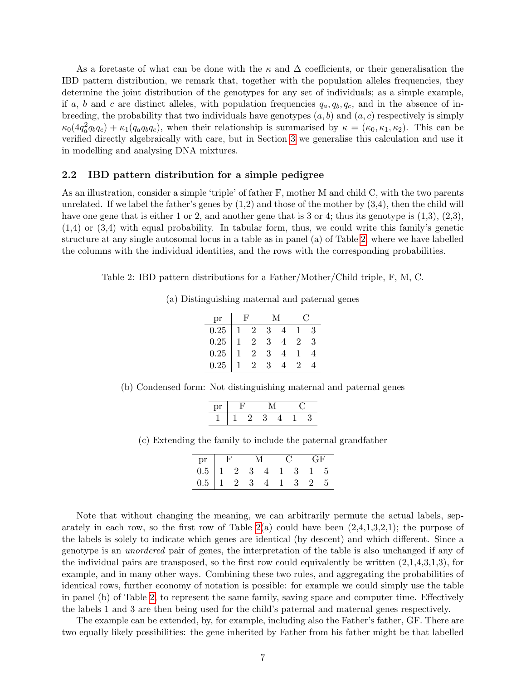As a foretaste of what can be done with the  $\kappa$  and  $\Delta$  coefficients, or their generalisation the IBD pattern distribution, we remark that, together with the population alleles frequencies, they determine the joint distribution of the genotypes for any set of individuals; as a simple example, if a, b and c are distinct alleles, with population frequencies  $q_a, q_b, q_c$ , and in the absence of inbreeding, the probability that two individuals have genotypes  $(a, b)$  and  $(a, c)$  respectively is simply  $\kappa_0(4q_a^2q_bq_c) + \kappa_1(q_aq_bq_c)$ , when their relationship is summarised by  $\kappa = (\kappa_0, \kappa_1, \kappa_2)$ . This can be verified directly algebraically with care, but in Section [3](#page-10-0) we generalise this calculation and use it in modelling and analysing DNA mixtures.

### <span id="page-6-0"></span>2.2 IBD pattern distribution for a simple pedigree

As an illustration, consider a simple 'triple' of father F, mother M and child C, with the two parents unrelated. If we label the father's genes by  $(1,2)$  and those of the mother by  $(3,4)$ , then the child will have one gene that is either 1 or 2, and another gene that is 3 or 4; thus its genotype is  $(1,3), (2,3),$ (1,4) or (3,4) with equal probability. In tabular form, thus, we could write this family's genetic structure at any single autosomal locus in a table as in panel (a) of Table [2,](#page-6-1) where we have labelled the columns with the individual identities, and the rows with the corresponding probabilities.

Table 2: IBD pattern distributions for a Father/Mother/Child triple, F, M, C.

<span id="page-6-1"></span>(a) Distinguishing maternal and paternal genes

| рr   |     |                |   |                |   |  |
|------|-----|----------------|---|----------------|---|--|
| 0.25 | -1. | $\overline{2}$ | 3 |                | З |  |
| 0.25 |     | $\overline{2}$ | 3 | $\overline{2}$ | 3 |  |
| 0.25 |     | $\overline{2}$ | З |                |   |  |
| 0.25 |     |                | З |                |   |  |

(b) Condensed form: Not distinguishing maternal and paternal genes

| nr |  |  |  |  |  |
|----|--|--|--|--|--|
|    |  |  |  |  |  |

(c) Extending the family to include the paternal grandfather

| pr                |  |  |  |  |  |          | L÷H      |      |
|-------------------|--|--|--|--|--|----------|----------|------|
| $0.5$   1 2 3 4 1 |  |  |  |  |  | $\sim$ 3 | -15      |      |
| $0.5$   1   2   3 |  |  |  |  |  | -3-      | $\sim$ 2 | - 5. |

Note that without changing the meaning, we can arbitrarily permute the actual labels, separately in each row, so the first row of Table  $2(a)$  could have been  $(2,4,1,3,2,1)$ ; the purpose of the labels is solely to indicate which genes are identical (by descent) and which different. Since a genotype is an unordered pair of genes, the interpretation of the table is also unchanged if any of the individual pairs are transposed, so the first row could equivalently be written  $(2,1,4,3,1,3)$ , for example, and in many other ways. Combining these two rules, and aggregating the probabilities of identical rows, further economy of notation is possible: for example we could simply use the table in panel (b) of Table [2,](#page-6-1) to represent the same family, saving space and computer time. Effectively the labels 1 and 3 are then being used for the child's paternal and maternal genes respectively.

The example can be extended, by, for example, including also the Father's father, GF. There are two equally likely possibilities: the gene inherited by Father from his father might be that labelled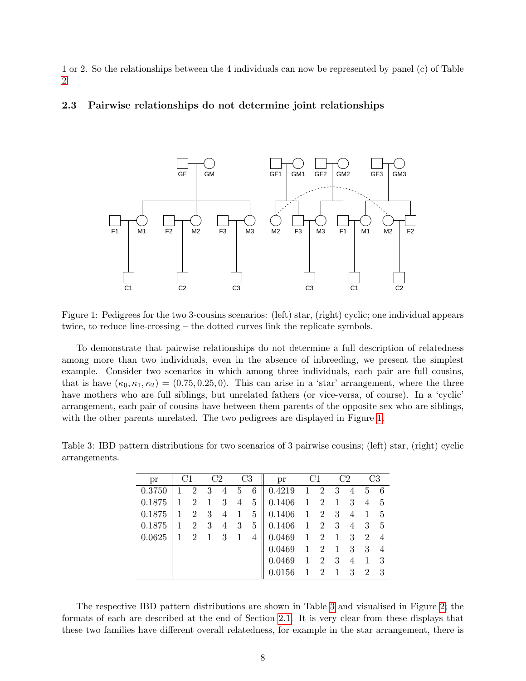1 or 2. So the relationships between the 4 individuals can now be represented by panel (c) of Table [2.](#page-6-1)

### <span id="page-7-2"></span>2.3 Pairwise relationships do not determine joint relationships



<span id="page-7-1"></span>Figure 1: Pedigrees for the two 3-cousins scenarios: (left) star, (right) cyclic; one individual appears twice, to reduce line-crossing – the dotted curves link the replicate symbols.

To demonstrate that pairwise relationships do not determine a full description of relatedness among more than two individuals, even in the absence of inbreeding, we present the simplest example. Consider two scenarios in which among three individuals, each pair are full cousins, that is have  $(\kappa_0, \kappa_1, \kappa_2) = (0.75, 0.25, 0)$ . This can arise in a 'star' arrangement, where the three have mothers who are full siblings, but unrelated fathers (or vice-versa, of course). In a 'cyclic' arrangement, each pair of cousins have between them parents of the opposite sex who are siblings, with the other parents unrelated. The two pedigrees are displayed in Figure [1.](#page-7-1)

<span id="page-7-0"></span>Table 3: IBD pattern distributions for two scenarios of 3 pairwise cousins; (left) star, (right) cyclic arrangements.

| pr     | C1 |                |   | C2 |   | C3 | pr     | C1 |                |              | C2             |   | C3             |
|--------|----|----------------|---|----|---|----|--------|----|----------------|--------------|----------------|---|----------------|
| 0.3750 |    | 2              | 3 | 4  | 5 | 6  | 0.4219 | 1  | $\overline{2}$ | 3            | 4              | 5 | 6              |
| 0.1875 |    | $\overline{2}$ | 1 | 3  | 4 | 5  | 0.1406 | 1  | $\overline{2}$ | $\mathbf{1}$ | 3              | 4 | 5              |
| 0.1875 |    | 2              | 3 | 4  |   | 5  | 0.1406 | 1  | $\overline{2}$ | 3            | $\overline{4}$ |   | 5              |
| 0.1875 |    | 2              | 3 | 4  | 3 | 5  | 0.1406 | 1  | $\overline{2}$ | 3            | 4              | 3 | 5              |
| 0.0625 |    | 2              | 1 | 3  |   | 4  | 0.0469 | 1  | 2              | 1            | 3              | 2 | 4              |
|        |    |                |   |    |   |    | 0.0469 | 1  | 2              | $\mathbf{1}$ | 3              | 3 | $\overline{4}$ |
|        |    |                |   |    |   |    | 0.0469 | 1  | 2              | 3            | 4              |   | 3              |
|        |    |                |   |    |   |    | 0.0156 |    | 2              |              | 3              | 2 | 3              |

The respective IBD pattern distributions are shown in Table [3](#page-7-0) and visualised in Figure [2;](#page-8-0) the formats of each are described at the end of Section [2.1.](#page-4-1) It is very clear from these displays that these two families have different overall relatedness, for example in the star arrangement, there is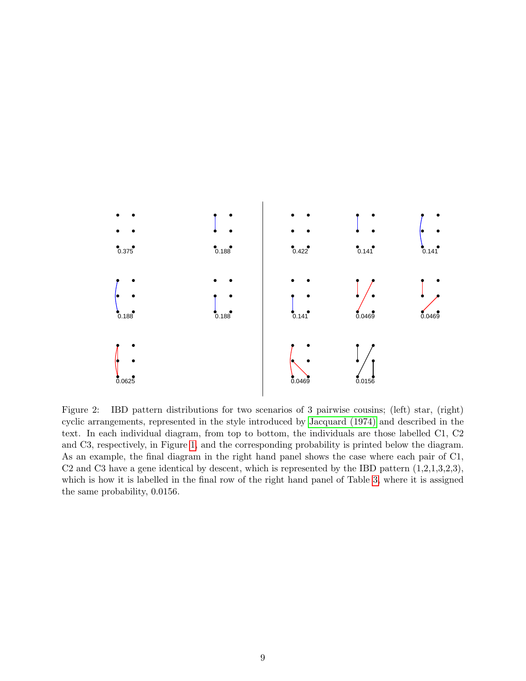

<span id="page-8-0"></span>Figure 2: IBD pattern distributions for two scenarios of 3 pairwise cousins; (left) star, (right) cyclic arrangements, represented in the style introduced by [Jacquard \(1974\)](#page-33-5) and described in the text. In each individual diagram, from top to bottom, the individuals are those labelled C1, C2 and C3, respectively, in Figure [1,](#page-7-1) and the corresponding probability is printed below the diagram. As an example, the final diagram in the right hand panel shows the case where each pair of C1, C2 and C3 have a gene identical by descent, which is represented by the IBD pattern  $(1,2,1,3,2,3)$ , which is how it is labelled in the final row of the right hand panel of Table [3,](#page-7-0) where it is assigned the same probability, 0.0156.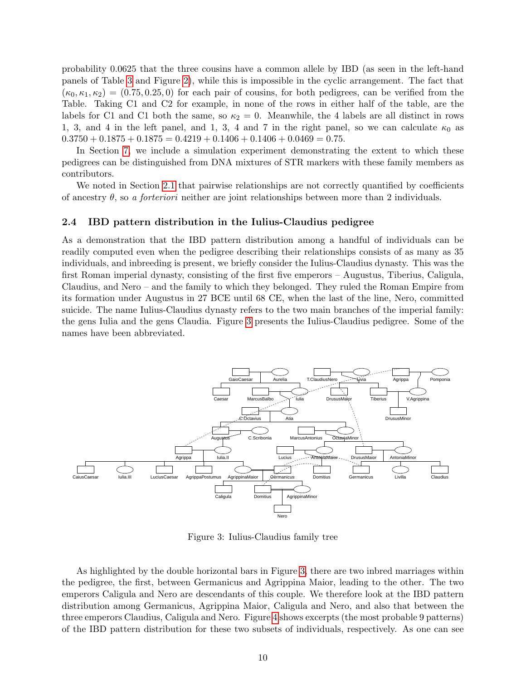probability 0.0625 that the three cousins have a common allele by IBD (as seen in the left-hand panels of Table [3](#page-7-0) and Figure [2\)](#page-8-0), while this is impossible in the cyclic arrangement. The fact that  $(\kappa_0, \kappa_1, \kappa_2) = (0.75, 0.25, 0)$  for each pair of cousins, for both pedigrees, can be verified from the Table. Taking C1 and C2 for example, in none of the rows in either half of the table, are the labels for C1 and C1 both the same, so  $\kappa_2 = 0$ . Meanwhile, the 4 labels are all distinct in rows 1, 3, and 4 in the left panel, and 1, 3, 4 and 7 in the right panel, so we can calculate  $\kappa_0$  as  $0.3750 + 0.1875 + 0.1875 = 0.4219 + 0.1406 + 0.1406 + 0.0469 = 0.75.$ 

In Section [7,](#page-19-0) we include a simulation experiment demonstrating the extent to which these pedigrees can be distinguished from DNA mixtures of STR markers with these family members as contributors.

We noted in Section [2.1](#page-4-1) that pairwise relationships are not correctly quantified by coefficients of ancestry  $\theta$ , so a forteriori neither are joint relationships between more than 2 individuals.

#### 2.4 IBD pattern distribution in the Iulius-Claudius pedigree

As a demonstration that the IBD pattern distribution among a handful of individuals can be readily computed even when the pedigree describing their relationships consists of as many as 35 individuals, and inbreeding is present, we briefly consider the Iulius-Claudius dynasty. This was the first Roman imperial dynasty, consisting of the first five emperors – Augustus, Tiberius, Caligula, Claudius, and Nero – and the family to which they belonged. They ruled the Roman Empire from its formation under Augustus in 27 BCE until 68 CE, when the last of the line, Nero, committed suicide. The name Iulius-Claudius dynasty refers to the two main branches of the imperial family: the gens Iulia and the gens Claudia. Figure [3](#page-9-0) presents the Iulius-Claudius pedigree. Some of the names have been abbreviated.



<span id="page-9-0"></span>Figure 3: Iulius-Claudius family tree

As highlighted by the double horizontal bars in Figure [3,](#page-9-0) there are two inbred marriages within the pedigree, the first, between Germanicus and Agrippina Maior, leading to the other. The two emperors Caligula and Nero are descendants of this couple. We therefore look at the IBD pattern distribution among Germanicus, Agrippina Maior, Caligula and Nero, and also that between the three emperors Claudius, Caligula and Nero. Figure [4](#page-10-1) shows excerpts (the most probable 9 patterns) of the IBD pattern distribution for these two subsets of individuals, respectively. As one can see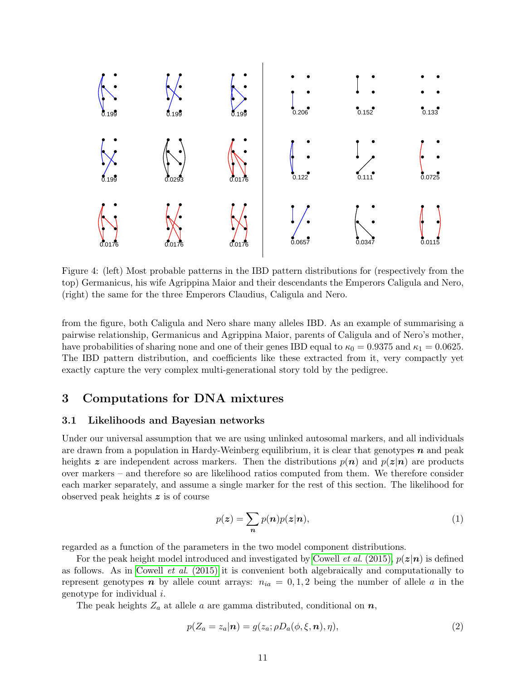

<span id="page-10-1"></span>Figure 4: (left) Most probable patterns in the IBD pattern distributions for (respectively from the top) Germanicus, his wife Agrippina Maior and their descendants the Emperors Caligula and Nero, (right) the same for the three Emperors Claudius, Caligula and Nero.

from the figure, both Caligula and Nero share many alleles IBD. As an example of summarising a pairwise relationship, Germanicus and Agrippina Maior, parents of Caligula and of Nero's mother, have probabilities of sharing none and one of their genes IBD equal to  $\kappa_0 = 0.9375$  and  $\kappa_1 = 0.0625$ . The IBD pattern distribution, and coefficients like these extracted from it, very compactly yet exactly capture the very complex multi-generational story told by the pedigree.

### <span id="page-10-0"></span>3 Computations for DNA mixtures

### 3.1 Likelihoods and Bayesian networks

Under our universal assumption that we are using unlinked autosomal markers, and all individuals are drawn from a population in Hardy-Weinberg equilibrium, it is clear that genotypes  $n$  and peak heights z are independent across markers. Then the distributions  $p(n)$  and  $p(z|n)$  are products over markers – and therefore so are likelihood ratios computed from them. We therefore consider each marker separately, and assume a single marker for the rest of this section. The likelihood for observed peak heights z is of course

<span id="page-10-2"></span>
$$
p(\boldsymbol{z}) = \sum_{\boldsymbol{n}} p(\boldsymbol{n}) p(\boldsymbol{z}|\boldsymbol{n}), \tag{1}
$$

regarded as a function of the parameters in the two model component distributions.

For the peak height model introduced and investigated by Cowell *et al.* (2015),  $p(z|\mathbf{n})$  is defined as follows. As in Cowell et al[. \(2015\)](#page-32-0) it is convenient both algebraically and computationally to represent genotypes n by allele count arrays:  $n_{ia} = 0, 1, 2$  being the number of allele a in the genotype for individual i.

The peak heights  $Z_a$  at allele a are gamma distributed, conditional on  $n$ ,

$$
p(Z_a = z_a | \mathbf{n}) = g(z_a; \rho D_a(\phi, \xi, \mathbf{n}), \eta), \tag{2}
$$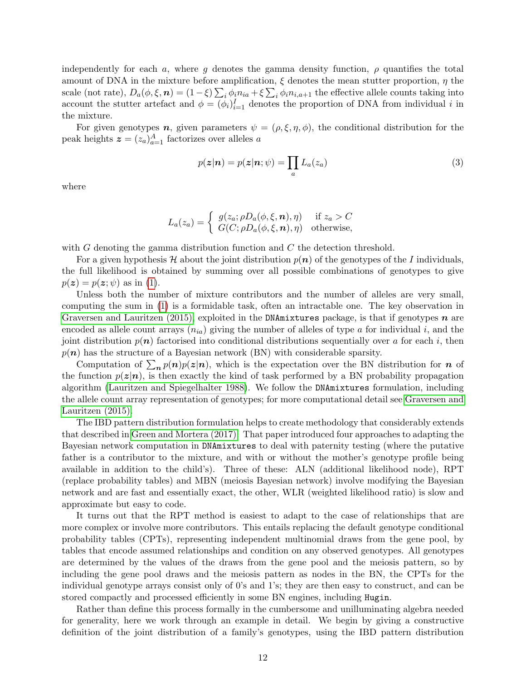independently for each a, where g denotes the gamma density function,  $\rho$  quantifies the total amount of DNA in the mixture before amplification,  $\xi$  denotes the mean stutter proportion,  $\eta$  the scale (not rate),  $D_a(\phi, \xi, n) = (1 - \xi) \sum_i \phi_i n_{ia} + \xi \sum_i \phi_i n_{i, a+1}$  the effective allele counts taking into account the stutter artefact and  $\phi = (\phi_i)_{i=1}^I$  denotes the proportion of DNA from individual i in the mixture.

For given genotypes **n**, given parameters  $\psi = (\rho, \xi, \eta, \phi)$ , the conditional distribution for the peak heights  $\boldsymbol{z} = (z_a)_{a=1}^A$  factorizes over alleles a

$$
p(\boldsymbol{z}|\boldsymbol{n}) = p(\boldsymbol{z}|\boldsymbol{n};\psi) = \prod_{a} L_a(z_a)
$$
\n(3)

where

$$
L_a(z_a) = \begin{cases} g(z_a; \rho D_a(\phi, \xi, n), \eta) & \text{if } z_a > C \\ G(C; \rho D_a(\phi, \xi, n), \eta) & \text{otherwise,} \end{cases}
$$

with  $G$  denoting the gamma distribution function and  $C$  the detection threshold.

For a given hypothesis H about the joint distribution  $p(n)$  of the genotypes of the I individuals, the full likelihood is obtained by summing over all possible combinations of genotypes to give  $p(z) = p(z; \psi)$  as in [\(1\)](#page-10-2).

Unless both the number of mixture contributors and the number of alleles are very small, computing the sum in [\(1\)](#page-10-2) is a formidable task, often an intractable one. The key observation in [Graversen and Lauritzen \(2015\),](#page-32-6) exploited in the DNAmixtures package, is that if genotypes  $n$  are encoded as allele count arrays  $(n_{ia})$  giving the number of alleles of type a for individual i, and the joint distribution  $p(n)$  factorised into conditional distributions sequentially over a for each i, then  $p(n)$  has the structure of a Bayesian network (BN) with considerable sparsity.

Computation of  $\sum_{n} p(n)p(z|n)$ , which is the expectation over the BN distribution for n of the function  $p(z|n)$ , is then exactly the kind of task performed by a BN probability propagation algorithm [\(Lauritzen and Spiegelhalter 1988\)](#page-33-9). We follow the DNAmixtures formulation, including the allele count array representation of genotypes; for more computational detail see [Graversen and](#page-32-6) [Lauritzen \(2015\).](#page-32-6)

The IBD pattern distribution formulation helps to create methodology that considerably extends that described in [Green and Mortera \(2017\).](#page-33-1) That paper introduced four approaches to adapting the Bayesian network computation in DNAmixtures to deal with paternity testing (where the putative father is a contributor to the mixture, and with or without the mother's genotype profile being available in addition to the child's). Three of these: ALN (additional likelihood node), RPT (replace probability tables) and MBN (meiosis Bayesian network) involve modifying the Bayesian network and are fast and essentially exact, the other, WLR (weighted likelihood ratio) is slow and approximate but easy to code.

It turns out that the RPT method is easiest to adapt to the case of relationships that are more complex or involve more contributors. This entails replacing the default genotype conditional probability tables (CPTs), representing independent multinomial draws from the gene pool, by tables that encode assumed relationships and condition on any observed genotypes. All genotypes are determined by the values of the draws from the gene pool and the meiosis pattern, so by including the gene pool draws and the meiosis pattern as nodes in the BN, the CPTs for the individual genotype arrays consist only of 0's and 1's; they are then easy to construct, and can be stored compactly and processed efficiently in some BN engines, including Hugin.

Rather than define this process formally in the cumbersome and unilluminating algebra needed for generality, here we work through an example in detail. We begin by giving a constructive definition of the joint distribution of a family's genotypes, using the IBD pattern distribution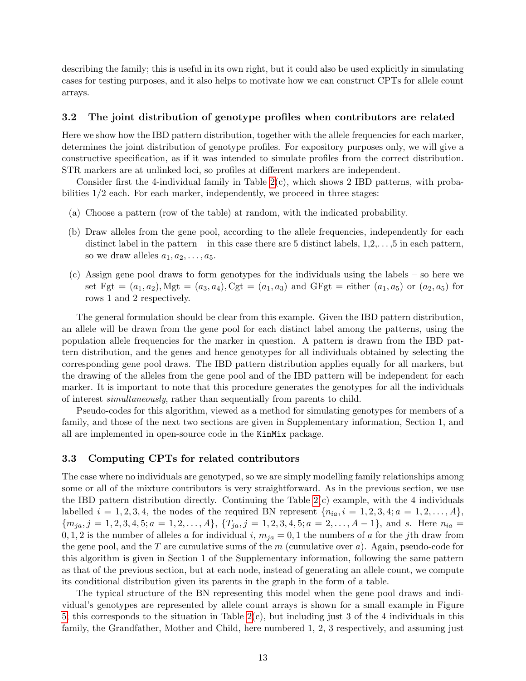describing the family; this is useful in its own right, but it could also be used explicitly in simulating cases for testing purposes, and it also helps to motivate how we can construct CPTs for allele count arrays.

### <span id="page-12-1"></span>3.2 The joint distribution of genotype profiles when contributors are related

Here we show how the IBD pattern distribution, together with the allele frequencies for each marker, determines the joint distribution of genotype profiles. For expository purposes only, we will give a constructive specification, as if it was intended to simulate profiles from the correct distribution. STR markers are at unlinked loci, so profiles at different markers are independent.

Consider first the 4-individual family in Table  $2(c)$ , which shows 2 IBD patterns, with probabilities 1/2 each. For each marker, independently, we proceed in three stages:

- (a) Choose a pattern (row of the table) at random, with the indicated probability.
- (b) Draw alleles from the gene pool, according to the allele frequencies, independently for each distinct label in the pattern – in this case there are 5 distinct labels,  $1, 2, \ldots, 5$  in each pattern, so we draw alleles  $a_1, a_2, \ldots, a_5$ .
- (c) Assign gene pool draws to form genotypes for the individuals using the labels so here we set Fgt =  $(a_1, a_2)$ , Mgt =  $(a_3, a_4)$ , Cgt =  $(a_1, a_3)$  and GFgt = either  $(a_1, a_5)$  or  $(a_2, a_5)$  for rows 1 and 2 respectively.

The general formulation should be clear from this example. Given the IBD pattern distribution, an allele will be drawn from the gene pool for each distinct label among the patterns, using the population allele frequencies for the marker in question. A pattern is drawn from the IBD pattern distribution, and the genes and hence genotypes for all individuals obtained by selecting the corresponding gene pool draws. The IBD pattern distribution applies equally for all markers, but the drawing of the alleles from the gene pool and of the IBD pattern will be independent for each marker. It is important to note that this procedure generates the genotypes for all the individuals of interest simultaneously, rather than sequentially from parents to child.

Pseudo-codes for this algorithm, viewed as a method for simulating genotypes for members of a family, and those of the next two sections are given in Supplementary information, Section 1, and all are implemented in open-source code in the KinMix package.

### <span id="page-12-0"></span>3.3 Computing CPTs for related contributors

The case where no individuals are genotyped, so we are simply modelling family relationships among some or all of the mixture contributors is very straightforward. As in the previous section, we use the IBD pattern distribution directly. Continuing the Table  $2(c)$  example, with the 4 individuals labelled  $i = 1, 2, 3, 4$ , the nodes of the required BN represent  $\{n_{ia}, i = 1, 2, 3, 4; a = 1, 2, ..., A\}$ ,  ${m_{ja}, j = 1, 2, 3, 4, 5; a = 1, 2, ..., A}, {T_{ja}, j = 1, 2, 3, 4, 5; a = 2, ..., A - 1}, \text{ and } s. \text{ Here } n_{ia} =$ 0, 1, 2 is the number of alleles a for individual i,  $m_{ja} = 0$ , 1 the numbers of a for the jth draw from the gene pool, and the T are cumulative sums of the  $m$  (cumulative over  $a$ ). Again, pseudo-code for this algorithm is given in Section 1 of the Supplementary information, following the same pattern as that of the previous section, but at each node, instead of generating an allele count, we compute its conditional distribution given its parents in the graph in the form of a table.

The typical structure of the BN representing this model when the gene pool draws and individual's genotypes are represented by allele count arrays is shown for a small example in Figure [5;](#page-13-0) this corresponds to the situation in Table  $2(c)$ , but including just 3 of the 4 individuals in this family, the Grandfather, Mother and Child, here numbered 1, 2, 3 respectively, and assuming just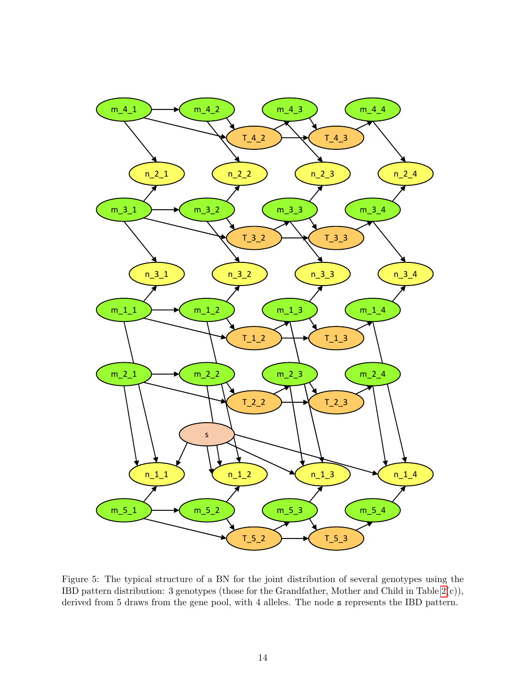

<span id="page-13-0"></span>Figure 5: The typical structure of a BN for the joint distribution of several genotypes using the IBD pattern distribution: 3 genotypes (those for the Grandfather, Mother and Child in Table [2\(](#page-6-1)c)), derived from 5 draws from the gene pool, with 4 alleles. The node s represents the IBD pattern.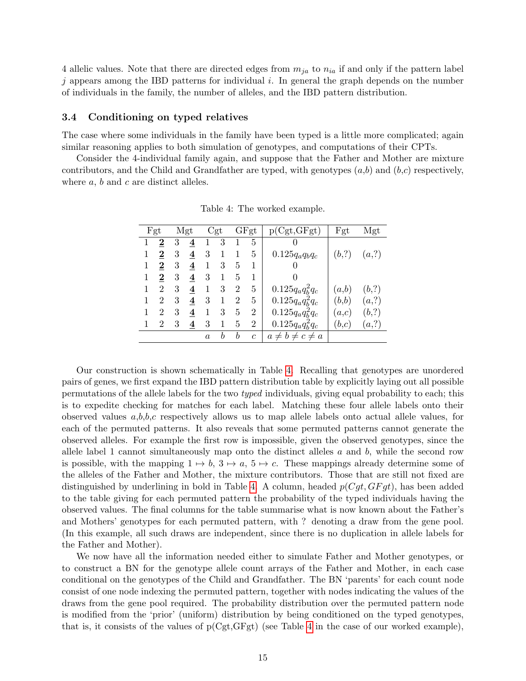4 allelic values. Note that there are directed edges from  $m_{ja}$  to  $n_{ia}$  if and only if the pattern label  $j$  appears among the IBD patterns for individual  $i$ . In general the graph depends on the number of individuals in the family, the number of alleles, and the IBD pattern distribution.

#### 3.4 Conditioning on typed relatives

The case where some individuals in the family have been typed is a little more complicated; again similar reasoning applies to both simulation of genotypes, and computations of their CPTs.

Consider the 4-individual family again, and suppose that the Father and Mother are mixture contributors, and the Child and Grandfather are typed, with genotypes  $(a,b)$  and  $(b,c)$  respectively, where  $a, b$  and  $c$  are distinct alleles.

|   | Fgt            |   | Mgt                     |                  | Cgt |                | GFgt           | p(Cgt, GFgt)             | Fgt   | Mgt   |
|---|----------------|---|-------------------------|------------------|-----|----------------|----------------|--------------------------|-------|-------|
|   | 2              | 3 | 4                       | 1                | 3   | 1              | 5              | $\theta$                 |       |       |
| 1 | $\bf{2}$       | 3 | 4                       | 3                |     |                | 5              | $0.125q_a q_b q_c$       | (b,?) | (a,?) |
| 1 | 2              | 3 | 4                       | 1                | 3   | 5              |                | 0                        |       |       |
|   | $\bf{2}$       | 3 | 4                       | 3                | 1   | 5              |                | 0                        |       |       |
|   | $\overline{2}$ | 3 | $\boldsymbol{4}$        | 1                | 3   | $\overline{2}$ | 5              | $0.125 q_a q_b^2 q_c$    | (a,b) | (b,?) |
|   | $\overline{2}$ | 3 | 4                       | 3                | 1   | $\overline{2}$ | 5              | $0.125q_aq_b^2q_c$       | (b,b) | (a,?) |
|   | 2              | 3 | $\overline{\mathbf{4}}$ | 1                | 3   | 5              | 2              | $0.125q_aq_b^2q_c$       | (a,c) | (b,?) |
|   | $\overline{2}$ | 3 | $\overline{\mathbf{4}}$ | 3                | 1   | 5              | $\overline{2}$ | $0.125q_aq_b^2q_c$       | (b,c) | (a,?) |
|   |                |   |                         | $\boldsymbol{a}$ | h   | b              | $\mathfrak{c}$ | $a \neq b \neq c \neq a$ |       |       |

<span id="page-14-0"></span>Table 4: The worked example.

Our construction is shown schematically in Table [4.](#page-14-0) Recalling that genotypes are unordered pairs of genes, we first expand the IBD pattern distribution table by explicitly laying out all possible permutations of the allele labels for the two typed individuals, giving equal probability to each; this is to expedite checking for matches for each label. Matching these four allele labels onto their observed values  $a,b,b,c$  respectively allows us to map allele labels onto actual allele values, for each of the permuted patterns. It also reveals that some permuted patterns cannot generate the observed alleles. For example the first row is impossible, given the observed genotypes, since the allele label 1 cannot simultaneously map onto the distinct alleles  $a$  and  $b$ , while the second row is possible, with the mapping  $1 \mapsto b$ ,  $3 \mapsto a$ ,  $5 \mapsto c$ . These mappings already determine some of the alleles of the Father and Mother, the mixture contributors. Those that are still not fixed are distinguished by underlining in bold in Table [4.](#page-14-0) A column, headed  $p(Cgt, GFgt)$ , has been added to the table giving for each permuted pattern the probability of the typed individuals having the observed values. The final columns for the table summarise what is now known about the Father's and Mothers' genotypes for each permuted pattern, with ? denoting a draw from the gene pool. (In this example, all such draws are independent, since there is no duplication in allele labels for the Father and Mother).

We now have all the information needed either to simulate Father and Mother genotypes, or to construct a BN for the genotype allele count arrays of the Father and Mother, in each case conditional on the genotypes of the Child and Grandfather. The BN 'parents' for each count node consist of one node indexing the permuted pattern, together with nodes indicating the values of the draws from the gene pool required. The probability distribution over the permuted pattern node is modified from the 'prior' (uniform) distribution by being conditioned on the typed genotypes, that is, it consists of the values of  $p(Cgt, GFgt)$  (see Table [4](#page-14-0) in the case of our worked example),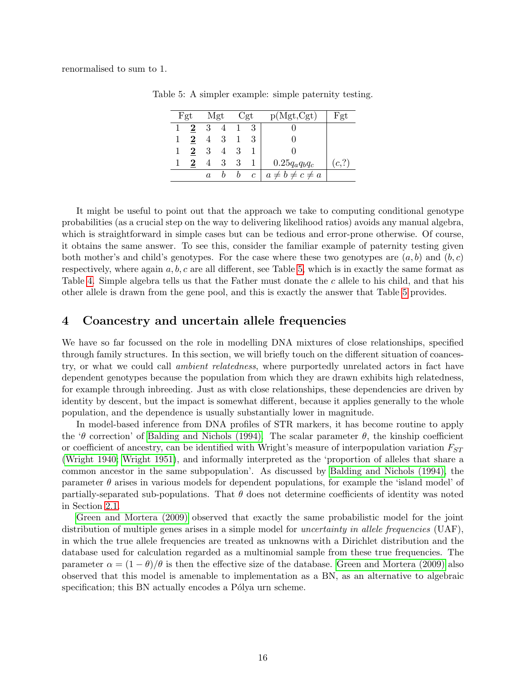renormalised to sum to 1.

<span id="page-15-0"></span>

|   | Fgt      | Mgt              |    |    | Cgt              | p(Mgt,Cgt)               | F`gt  |
|---|----------|------------------|----|----|------------------|--------------------------|-------|
|   |          | -3               |    |    |                  |                          |       |
| 1 | 2        | $\overline{4}$   | -3 |    |                  |                          |       |
| 1 | $\bf{2}$ | -3               |    | -3 |                  |                          |       |
|   | 2        |                  | 3  | 3  |                  | $0.25q_a q_b q_c$        | (c,?) |
|   |          | $\boldsymbol{a}$ |    | b  | $\boldsymbol{c}$ | $a \neq b \neq c \neq a$ |       |

Table 5: A simpler example: simple paternity testing.

It might be useful to point out that the approach we take to computing conditional genotype probabilities (as a crucial step on the way to delivering likelihood ratios) avoids any manual algebra, which is straightforward in simple cases but can be tedious and error-prone otherwise. Of course, it obtains the same answer. To see this, consider the familiar example of paternity testing given both mother's and child's genotypes. For the case where these two genotypes are  $(a, b)$  and  $(b, c)$ respectively, where again  $a, b, c$  are all different, see Table [5,](#page-15-0) which is in exactly the same format as Table [4.](#page-14-0) Simple algebra tells us that the Father must donate the c allele to his child, and that his other allele is drawn from the gene pool, and this is exactly the answer that Table [5](#page-15-0) provides.

### 4 Coancestry and uncertain allele frequencies

We have so far focussed on the role in modelling DNA mixtures of close relationships, specified through family structures. In this section, we will briefly touch on the different situation of coancestry, or what we could call ambient relatedness, where purportedly unrelated actors in fact have dependent genotypes because the population from which they are drawn exhibits high relatedness, for example through inbreeding. Just as with close relationships, these dependencies are driven by identity by descent, but the impact is somewhat different, because it applies generally to the whole population, and the dependence is usually substantially lower in magnitude.

In model-based inference from DNA profiles of STR markers, it has become routine to apply the 'θ correction' of [Balding and Nichols \(1994\).](#page-32-7) The scalar parameter  $\theta$ , the kinship coefficient or coefficient of ancestry, can be identified with Wright's measure of interpopulation variation  $F_{ST}$ [\(Wright 1940;](#page-33-10) [Wright 1951\)](#page-33-11), and informally interpreted as the 'proportion of alleles that share a common ancestor in the same subpopulation'. As discussed by [Balding and Nichols \(1994\),](#page-32-7) the parameter  $\theta$  arises in various models for dependent populations, for example the 'island model' of partially-separated sub-populations. That  $\theta$  does not determine coefficients of identity was noted in Section [2.1.](#page-4-1)

[Green and Mortera \(2009\)](#page-33-12) observed that exactly the same probabilistic model for the joint distribution of multiple genes arises in a simple model for *uncertainty in allele frequencies* (UAF), in which the true allele frequencies are treated as unknowns with a Dirichlet distribution and the database used for calculation regarded as a multinomial sample from these true frequencies. The parameter  $\alpha = (1 - \theta)/\theta$  is then the effective size of the database. [Green and Mortera \(2009\)](#page-33-12) also observed that this model is amenable to implementation as a BN, as an alternative to algebraic specification; this BN actually encodes a Pólya urn scheme.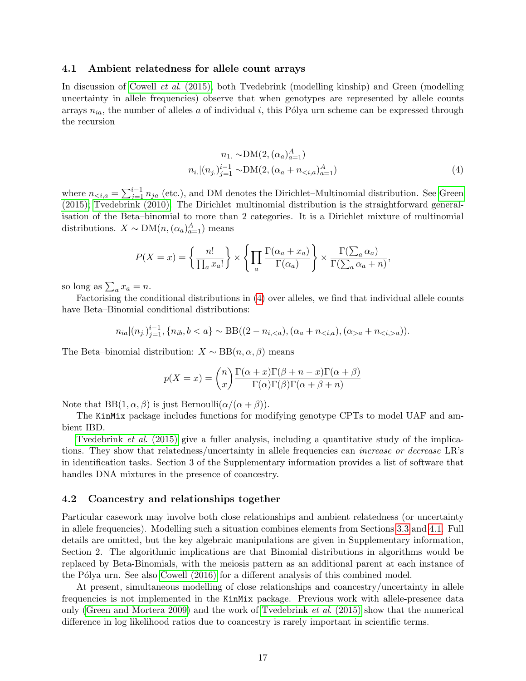#### <span id="page-16-1"></span>4.1 Ambient relatedness for allele count arrays

In discussion of Cowell et al[. \(2015\),](#page-32-0) both Tvedebrink (modelling kinship) and Green (modelling uncertainty in allele frequencies) observe that when genotypes are represented by allele counts arrays  $n_{ia}$ , the number of alleles a of individual i, this Pólya urn scheme can be expressed through the recursion

<span id="page-16-0"></span>
$$
n_1 \sim \text{DM}(2, (\alpha_a)_{a=1}^A)
$$
  

$$
n_i | (n_j)_{j=1}^{i-1} \sim \text{DM}(2, (\alpha_a + n_{ (4)
$$

where  $n_{\leq i,a} = \sum_{j=1}^{i-1} n_{ja}$  (etc.), and DM denotes the Dirichlet–Multinomial distribution. See [Green](#page-32-8) [\(2015\);](#page-32-8) [Tvedebrink \(2010\).](#page-33-13) The Dirichlet–multinomial distribution is the straightforward generalisation of the Beta–binomial to more than 2 categories. It is a Dirichlet mixture of multinomial distributions.  $X \sim \text{DM}(n, (\alpha_a)_{a=1}^A)$  means

$$
P(X = x) = \left\{ \frac{n!}{\prod_a x_a!} \right\} \times \left\{ \prod_a \frac{\Gamma(\alpha_a + x_a)}{\Gamma(\alpha_a)} \right\} \times \frac{\Gamma(\sum_a \alpha_a)}{\Gamma(\sum_a \alpha_a + n)},
$$

so long as  $\sum_a x_a = n$ .

Factorising the conditional distributions in [\(4\)](#page-16-0) over alleles, we find that individual allele counts have Beta–Binomial conditional distributions:

$$
n_{ia}|(n_j)_{j=1}^{i-1}, \{n_{ib}, b < a\} \sim \text{BB}((2 - n_{i, < a}), (\alpha_a + n_{< i, a}), (\alpha_{> a} + n_{< i, > a})).
$$

The Beta–binomial distribution:  $X \sim BB(n, \alpha, \beta)$  means

$$
p(X = x) = {n \choose x} \frac{\Gamma(\alpha + x)\Gamma(\beta + n - x)\Gamma(\alpha + \beta)}{\Gamma(\alpha)\Gamma(\beta)\Gamma(\alpha + \beta + n)}
$$

Note that  $BB(1, \alpha, \beta)$  is just Bernoulli $(\alpha/(\alpha + \beta))$ .

The KinMix package includes functions for modifying genotype CPTs to model UAF and ambient IBD.

[Tvedebrink](#page-33-14) *et al.* (2015) give a fuller analysis, including a quantitative study of the implications. They show that relatedness/uncertainty in allele frequencies can increase or decrease LR's in identification tasks. Section 3 of the Supplementary information provides a list of software that handles DNA mixtures in the presence of coancestry.

#### 4.2 Coancestry and relationships together

Particular casework may involve both close relationships and ambient relatedness (or uncertainty in allele frequencies). Modelling such a situation combines elements from Sections [3.3](#page-12-0) and [4.1.](#page-16-1) Full details are omitted, but the key algebraic manipulations are given in Supplementary information, Section 2. The algorithmic implications are that Binomial distributions in algorithms would be replaced by Beta-Binomials, with the meiosis pattern as an additional parent at each instance of the Pólya urn. See also [Cowell \(2016\)](#page-32-9) for a different analysis of this combined model.

At present, simultaneous modelling of close relationships and coancestry/uncertainty in allele frequencies is not implemented in the KinMix package. Previous work with allele-presence data only [\(Green and Mortera 2009\)](#page-33-12) and the work of [Tvedebrink](#page-33-14) et al. (2015) show that the numerical difference in log likelihood ratios due to coancestry is rarely important in scientific terms.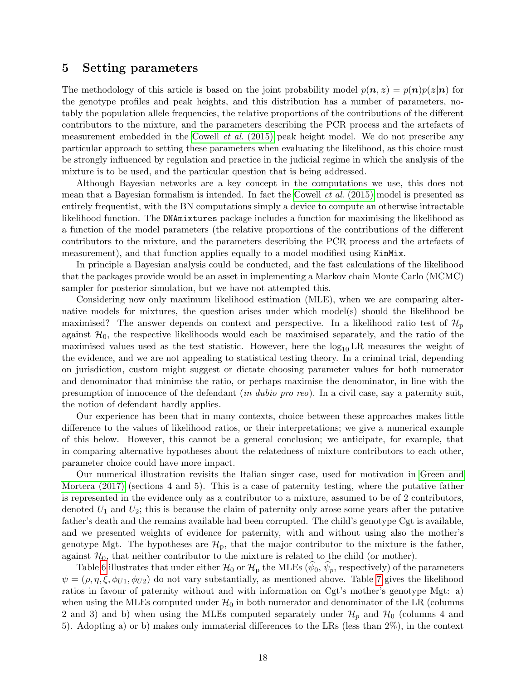### 5 Setting parameters

The methodology of this article is based on the joint probability model  $p(n, z) = p(n)p(z|n)$  for the genotype profiles and peak heights, and this distribution has a number of parameters, notably the population allele frequencies, the relative proportions of the contributions of the different contributors to the mixture, and the parameters describing the PCR process and the artefacts of measurement embedded in the Cowell  $et \ al.$  (2015) peak height model. We do not prescribe any particular approach to setting these parameters when evaluating the likelihood, as this choice must be strongly influenced by regulation and practice in the judicial regime in which the analysis of the mixture is to be used, and the particular question that is being addressed.

Although Bayesian networks are a key concept in the computations we use, this does not mean that a Bayesian formalism is intended. In fact the Cowell et al[. \(2015\)](#page-32-0) model is presented as entirely frequentist, with the BN computations simply a device to compute an otherwise intractable likelihood function. The DNAmixtures package includes a function for maximising the likelihood as a function of the model parameters (the relative proportions of the contributions of the different contributors to the mixture, and the parameters describing the PCR process and the artefacts of measurement), and that function applies equally to a model modified using KinMix.

In principle a Bayesian analysis could be conducted, and the fast calculations of the likelihood that the packages provide would be an asset in implementing a Markov chain Monte Carlo (MCMC) sampler for posterior simulation, but we have not attempted this.

Considering now only maximum likelihood estimation (MLE), when we are comparing alternative models for mixtures, the question arises under which model(s) should the likelihood be maximised? The answer depends on context and perspective. In a likelihood ratio test of  $\mathcal{H}_{\text{p}}$ against  $\mathcal{H}_0$ , the respective likelihoods would each be maximised separately, and the ratio of the maximised values used as the test statistic. However, here the  $log_{10}LR$  measures the weight of the evidence, and we are not appealing to statistical testing theory. In a criminal trial, depending on jurisdiction, custom might suggest or dictate choosing parameter values for both numerator and denominator that minimise the ratio, or perhaps maximise the denominator, in line with the presumption of innocence of the defendant (in dubio pro reo). In a civil case, say a paternity suit, the notion of defendant hardly applies.

Our experience has been that in many contexts, choice between these approaches makes little difference to the values of likelihood ratios, or their interpretations; we give a numerical example of this below. However, this cannot be a general conclusion; we anticipate, for example, that in comparing alternative hypotheses about the relatedness of mixture contributors to each other, parameter choice could have more impact.

Our numerical illustration revisits the Italian singer case, used for motivation in [Green and](#page-33-1) [Mortera \(2017\)](#page-33-1) (sections 4 and 5). This is a case of paternity testing, where the putative father is represented in the evidence only as a contributor to a mixture, assumed to be of 2 contributors, denoted  $U_1$  and  $U_2$ ; this is because the claim of paternity only arose some years after the putative father's death and the remains available had been corrupted. The child's genotype Cgt is available, and we presented weights of evidence for paternity, with and without using also the mother's genotype Mgt. The hypotheses are  $\mathcal{H}_{p}$ , that the major contributor to the mixture is the father, against  $\mathcal{H}_0$ , that neither contributor to the mixture is related to the child (or mother).

Table [6](#page-18-0) illustrates that under either  $\mathcal{H}_0$  or  $\mathcal{H}_p$  the MLEs  $(\psi_0, \psi_p)$ , respectively) of the parameters  $\psi = (\rho, \eta, \xi, \phi_{U_1}, \phi_{U_2})$  do not vary substantially, as mentioned above. Table [7](#page-18-1) gives the likelihood ratios in favour of paternity without and with information on Cgt's mother's genotype Mgt: a) when using the MLEs computed under  $\mathcal{H}_0$  in both numerator and denominator of the LR (columns 2 and 3) and b) when using the MLEs computed separately under  $\mathcal{H}_p$  and  $\mathcal{H}_0$  (columns 4 and 5). Adopting a) or b) makes only immaterial differences to the LRs (less than 2%), in the context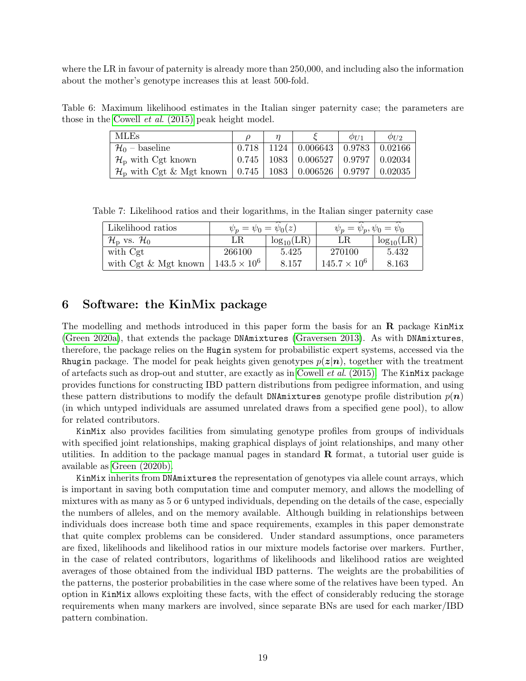where the LR in favour of paternity is already more than 250,000, and including also the information about the mother's genotype increases this at least 500-fold.

Table 6: Maximum likelihood estimates in the Italian singer paternity case; the parameters are those in the Cowell et al[. \(2015\)](#page-32-0) peak height model.

<span id="page-18-0"></span>

| <b>MLEs</b>                                |  |                                                                    | $\varphi_{II1}$ | $\varphi_{U2}$ |
|--------------------------------------------|--|--------------------------------------------------------------------|-----------------|----------------|
| $\mathcal{H}_0$ – baseline                 |  | $0.718$   1124   0.006643   0.9783   0.02166                       |                 |                |
| $\mathcal{H}_{\rm p}$ with Cgt known       |  | $0.745$   1083   0.006527   0.9797   0.02034                       |                 |                |
| $\mathcal{H}_{\rm p}$ with Cgt & Mgt known |  | $\vert 0.745 \vert 1083 \vert 0.006526 \vert 0.9797 \vert 0.02035$ |                 |                |

Table 7: Likelihood ratios and their logarithms, in the Italian singer paternity case

<span id="page-18-1"></span>

| Likelihood ratios                          | $\psi_p = \psi_0 = \psi_0(z)$ |                | $\psi_p = \psi_p, \psi_0 = \psi_0$ |                |  |
|--------------------------------------------|-------------------------------|----------------|------------------------------------|----------------|--|
| $\mathcal{H}_\text{D}$ vs. $\mathcal{H}_0$ | LR.                           | $log_{10}(LR)$ | LR                                 | $log_{10}(LR)$ |  |
| with Cgt                                   | 266100                        | 5.425          | 270100                             | 5.432          |  |
| with $\text{Cgt} \& \text{Mgt}$ known      | $143.5 \times 10^6$           | 8.157          | $145.7 \times 10^6$                | 8.163          |  |

### 6 Software: the KinMix package

The modelling and methods introduced in this paper form the basis for an  $\bf{R}$  package KinMix [\(Green 2020a\)](#page-32-4), that extends the package DNAmixtures [\(Graversen 2013\)](#page-32-3). As with DNAmixtures, therefore, the package relies on the Hugin system for probabilistic expert systems, accessed via the Rhugin package. The model for peak heights given genotypes  $p(z|n)$ , together with the treatment of artefacts such as drop-out and stutter, are exactly as in Cowell et al[. \(2015\).](#page-32-0) The KinMix package provides functions for constructing IBD pattern distributions from pedigree information, and using these pattern distributions to modify the default DNAmixtures genotype profile distribution  $p(n)$ (in which untyped individuals are assumed unrelated draws from a specified gene pool), to allow for related contributors.

KinMix also provides facilities from simulating genotype profiles from groups of individuals with specified joint relationships, making graphical displays of joint relationships, and many other utilities. In addition to the package manual pages in standard  $\bf{R}$  format, a tutorial user guide is available as [Green \(2020b\).](#page-33-15)

KinMix inherits from DNAmixtures the representation of genotypes via allele count arrays, which is important in saving both computation time and computer memory, and allows the modelling of mixtures with as many as 5 or 6 untyped individuals, depending on the details of the case, especially the numbers of alleles, and on the memory available. Although building in relationships between individuals does increase both time and space requirements, examples in this paper demonstrate that quite complex problems can be considered. Under standard assumptions, once parameters are fixed, likelihoods and likelihood ratios in our mixture models factorise over markers. Further, in the case of related contributors, logarithms of likelihoods and likelihood ratios are weighted averages of those obtained from the individual IBD patterns. The weights are the probabilities of the patterns, the posterior probabilities in the case where some of the relatives have been typed. An option in KinMix allows exploiting these facts, with the effect of considerably reducing the storage requirements when many markers are involved, since separate BNs are used for each marker/IBD pattern combination.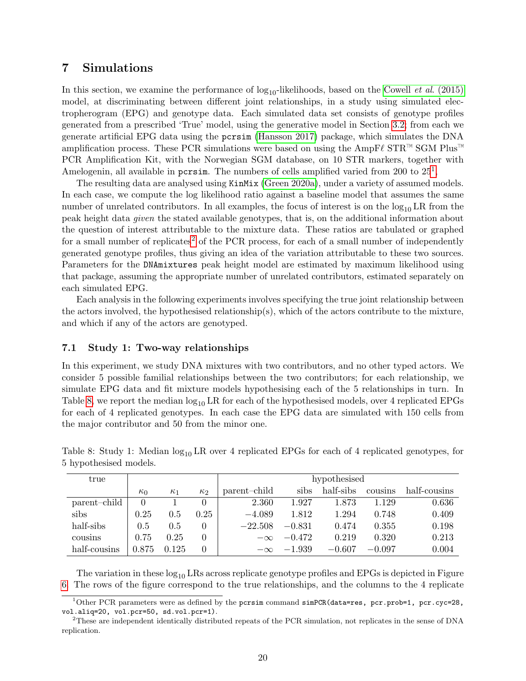### <span id="page-19-0"></span>7 Simulations

In this section, we examine the performance of  $log_{10}$ -likelihoods, based on the Cowell *et al.* (2015) model, at discriminating between different joint relationships, in a study using simulated electropherogram (EPG) and genotype data. Each simulated data set consists of genotype profiles generated from a prescribed 'True' model, using the generative model in Section [3.2;](#page-12-1) from each we generate artificial EPG data using the pcrsim [\(Hansson 2017\)](#page-33-16) package, which simulates the DNA amplification process. These PCR simulations were based on using the AmpF $\ell$  STR<sup>™</sup> SGM Plus<sup>™</sup> PCR Amplification Kit, with the Norwegian SGM database, on 10 STR markers, together with Amelogenin, all available in pcrsim. The numbers of cells amplified varied from 200 to  $25<sup>1</sup>$  $25<sup>1</sup>$  $25<sup>1</sup>$ ,

The resulting data are analysed using KinMix [\(Green 2020a\)](#page-32-4), under a variety of assumed models. In each case, we compute the log likelihood ratio against a baseline model that assumes the same number of unrelated contributors. In all examples, the focus of interest is on the  $\log_{10}LR$  from the peak height data given the stated available genotypes, that is, on the additional information about the question of interest attributable to the mixture data. These ratios are tabulated or graphed for a small number of replicates<sup>[2](#page-19-2)</sup> of the PCR process, for each of a small number of independently generated genotype profiles, thus giving an idea of the variation attributable to these two sources. Parameters for the DNAmixtures peak height model are estimated by maximum likelihood using that package, assuming the appropriate number of unrelated contributors, estimated separately on each simulated EPG.

Each analysis in the following experiments involves specifying the true joint relationship between the actors involved, the hypothesised relationship(s), which of the actors contribute to the mixture, and which if any of the actors are genotyped.

### 7.1 Study 1: Two-way relationships

In this experiment, we study DNA mixtures with two contributors, and no other typed actors. We consider 5 possible familial relationships between the two contributors; for each relationship, we simulate EPG data and fit mixture models hypothesising each of the 5 relationships in turn. In Table [8,](#page-19-3) we report the median  $\log_{10} LR$  for each of the hypothesised models, over 4 replicated EPGs for each of 4 replicated genotypes. In each case the EPG data are simulated with 150 cells from the major contributor and 50 from the minor one.

| true         |            | hypothesised |            |              |          |           |          |              |  |  |  |
|--------------|------------|--------------|------------|--------------|----------|-----------|----------|--------------|--|--|--|
|              | $\kappa_0$ | $\kappa_1$   | $\kappa_2$ | parent-child | sibs     | half-sibs | cousins  | half-cousins |  |  |  |
| parent-child | $\Omega$   |              | 0          | 2.360        | 1.927    | 1.873     | 1.129    | 0.636        |  |  |  |
| sibs         | 0.25       | 0.5          | 0.25       | $-4.089$     | 1.812    | 1.294     | 0.748    | 0.409        |  |  |  |
| half-sibs    | 0.5        | 0.5          | 0          | $-22.508$    | $-0.831$ | 0.474     | 0.355    | 0.198        |  |  |  |
| cousins      | 0.75       | 0.25         | 0          | $-\infty$    | $-0.472$ | 0.219     | 0.320    | 0.213        |  |  |  |
| half-cousins | 0.875      | 0.125        | 0          | $-\infty$    | $-1.939$ | $-0.607$  | $-0.097$ | 0.004        |  |  |  |

<span id="page-19-3"></span>Table 8: Study 1: Median  $log_{10}$  LR over 4 replicated EPGs for each of 4 replicated genotypes, for 5 hypothesised models.

The variation in these  $log_{10}$  LRs across replicate genotype profiles and EPGs is depicted in Figure [6.](#page-21-0) The rows of the figure correspond to the true relationships, and the columns to the 4 replicate

<span id="page-19-1"></span><sup>&</sup>lt;sup>1</sup>Other PCR parameters were as defined by the pcrsim command simPCR(data=res, pcr.prob=1, pcr.cyc=28, vol.aliq=20, vol.pcr=50, sd.vol.pcr=1).

<span id="page-19-2"></span><sup>2</sup>These are independent identically distributed repeats of the PCR simulation, not replicates in the sense of DNA replication.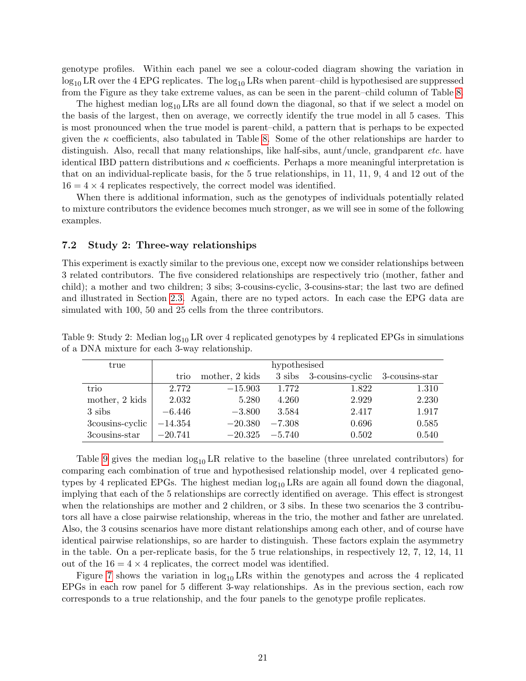genotype profiles. Within each panel we see a colour-coded diagram showing the variation in  $\log_{10}$  LR over the 4 EPG replicates. The  $\log_{10}$  LRs when parent–child is hypothesised are suppressed from the Figure as they take extreme values, as can be seen in the parent–child column of Table [8.](#page-19-3)

The highest median  $log_{10} LRs$  are all found down the diagonal, so that if we select a model on the basis of the largest, then on average, we correctly identify the true model in all 5 cases. This is most pronounced when the true model is parent–child, a pattern that is perhaps to be expected given the  $\kappa$  coefficients, also tabulated in Table [8.](#page-19-3) Some of the other relationships are harder to distinguish. Also, recall that many relationships, like half-sibs, aunt/uncle, grandparent *etc.* have identical IBD pattern distributions and  $\kappa$  coefficients. Perhaps a more meaningful interpretation is that on an individual-replicate basis, for the 5 true relationships, in 11, 11, 9, 4 and 12 out of the  $16 = 4 \times 4$  replicates respectively, the correct model was identified.

When there is additional information, such as the genotypes of individuals potentially related to mixture contributors the evidence becomes much stronger, as we will see in some of the following examples.

### 7.2 Study 2: Three-way relationships

This experiment is exactly similar to the previous one, except now we consider relationships between 3 related contributors. The five considered relationships are respectively trio (mother, father and child); a mother and two children; 3 sibs; 3-cousins-cyclic, 3-cousins-star; the last two are defined and illustrated in Section [2.3.](#page-7-2) Again, there are no typed actors. In each case the EPG data are simulated with 100, 50 and 25 cells from the three contributors.

<span id="page-20-0"></span>

| true            | hypothesised |                |          |                                        |       |  |  |  |  |
|-----------------|--------------|----------------|----------|----------------------------------------|-------|--|--|--|--|
|                 | trio         | mother, 2 kids |          | 3 sibs 3-cousins-cyclic 3-cousins-star |       |  |  |  |  |
| trio            | 2.772        | $-15.903$      | 1.772    | 1.822                                  | 1.310 |  |  |  |  |
| mother, 2 kids  | 2.032        | 5.280          | 4.260    | 2.929                                  | 2.230 |  |  |  |  |
| 3 sibs          | $-6.446$     | $-3.800$       | 3.584    | 2.417                                  | 1.917 |  |  |  |  |
| 3cousins-cyclic | $-14.354$    | $-20.380$      | $-7.308$ | 0.696                                  | 0.585 |  |  |  |  |
| 3cousins-star   | $-20.741$    | $-20.325$      | $-5.740$ | 0.502                                  | 0.540 |  |  |  |  |

Table 9: Study 2: Median  $\log_{10}$  LR over 4 replicated genotypes by 4 replicated EPGs in simulations of a DNA mixture for each 3-way relationship.

Table [9](#page-20-0) gives the median  $log_{10}LR$  relative to the baseline (three unrelated contributors) for comparing each combination of true and hypothesised relationship model, over 4 replicated genotypes by 4 replicated EPGs. The highest median  $\log_{10}$  LRs are again all found down the diagonal, implying that each of the 5 relationships are correctly identified on average. This effect is strongest when the relationships are mother and 2 children, or 3 sibs. In these two scenarios the 3 contributors all have a close pairwise relationship, whereas in the trio, the mother and father are unrelated. Also, the 3 cousins scenarios have more distant relationships among each other, and of course have identical pairwise relationships, so are harder to distinguish. These factors explain the asymmetry in the table. On a per-replicate basis, for the 5 true relationships, in respectively 12, 7, 12, 14, 11 out of the  $16 = 4 \times 4$  replicates, the correct model was identified.

Figure [7](#page-22-0) shows the variation in  $log_{10} LRs$  within the genotypes and across the 4 replicated EPGs in each row panel for 5 different 3-way relationships. As in the previous section, each row corresponds to a true relationship, and the four panels to the genotype profile replicates.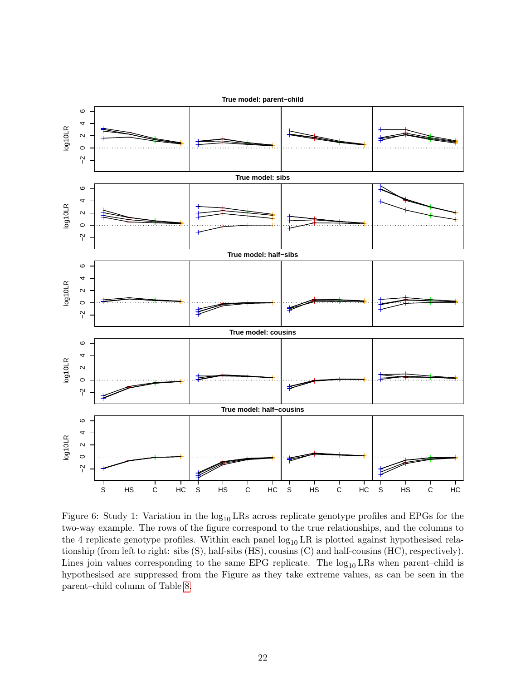

<span id="page-21-0"></span>Figure 6: Study 1: Variation in the  $log_{10}$  LRs across replicate genotype profiles and EPGs for the two-way example. The rows of the figure correspond to the true relationships, and the columns to the 4 replicate genotype profiles. Within each panel  $log_{10} LR$  is plotted against hypothesised relationship (from left to right: sibs (S), half-sibs (HS), cousins (C) and half-cousins (HC), respectively). Lines join values corresponding to the same EPG replicate. The  $log_{10} LRs$  when parent–child is hypothesised are suppressed from the Figure as they take extreme values, as can be seen in the parent–child column of Table [8.](#page-19-3)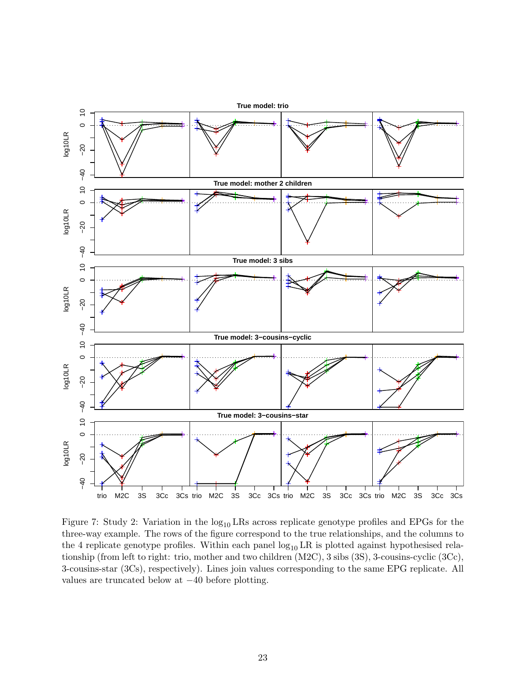

<span id="page-22-0"></span>Figure 7: Study 2: Variation in the  $log_{10}$  LRs across replicate genotype profiles and EPGs for the three-way example. The rows of the figure correspond to the true relationships, and the columns to the 4 replicate genotype profiles. Within each panel  $log_{10} LR$  is plotted against hypothesised relationship (from left to right: trio, mother and two children (M2C), 3 sibs (3S), 3-cousins-cyclic (3Cc), 3-cousins-star (3Cs), respectively). Lines join values corresponding to the same EPG replicate. All values are truncated below at −40 before plotting.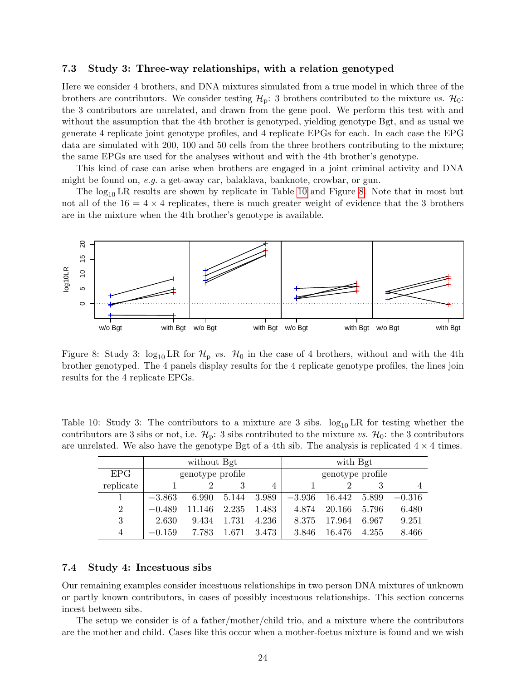#### 7.3 Study 3: Three-way relationships, with a relation genotyped

Here we consider 4 brothers, and DNA mixtures simulated from a true model in which three of the brothers are contributors. We consider testing  $\mathcal{H}_p$ : 3 brothers contributed to the mixture vs.  $\mathcal{H}_0$ : the 3 contributors are unrelated, and drawn from the gene pool. We perform this test with and without the assumption that the 4th brother is genotyped, yielding genotype Bgt, and as usual we generate 4 replicate joint genotype profiles, and 4 replicate EPGs for each. In each case the EPG data are simulated with 200, 100 and 50 cells from the three brothers contributing to the mixture; the same EPGs are used for the analyses without and with the 4th brother's genotype.

This kind of case can arise when brothers are engaged in a joint criminal activity and DNA might be found on, e.g. a get-away car, balaklava, banknote, crowbar, or gun.

The  $log_{10}$  LR results are shown by replicate in Table [10](#page-23-0) and Figure [8.](#page-23-1) Note that in most but not all of the  $16 = 4 \times 4$  replicates, there is much greater weight of evidence that the 3 brothers are in the mixture when the 4th brother's genotype is available.



<span id="page-23-1"></span>Figure 8: Study 3:  $\log_{10} LR$  for  $\mathcal{H}_p$  vs.  $\mathcal{H}_0$  in the case of 4 brothers, without and with the 4th brother genotyped. The 4 panels display results for the 4 replicate genotype profiles, the lines join results for the 4 replicate EPGs.

Table 10: Study 3: The contributors to a mixture are 3 sibs.  $\log_{10} LR$  for testing whether the contributors are 3 sibs or not, i.e.  $\mathcal{H}_p$ : 3 sibs contributed to the mixture vs.  $\mathcal{H}_0$ : the 3 contributors are unrelated. We also have the genotype Bgt of a 4th sib. The analysis is replicated  $4 \times 4$  times.

<span id="page-23-0"></span>

|                  |          | without Bgt      |       |       | with Bgt         |        |       |          |
|------------------|----------|------------------|-------|-------|------------------|--------|-------|----------|
| EPG <sup>-</sup> |          | genotype profile |       |       | genotype profile |        |       |          |
| replicate        |          |                  |       | 4     |                  |        |       |          |
|                  | $-3.863$ | 6.990            | 5.144 | 3.989 | $-3.936$         | 16.442 | 5.899 | $-0.316$ |
| 2                | $-0.489$ | 11.146           | 2.235 | 1.483 | 4.874            | 20.166 | 5.796 | 6.480    |
| 3                | 2.630    | 9.434            | 1.731 | 4.236 | 8.375            | 17.964 | 6.967 | 9.251    |
| 4                | $-0.159$ | 7.783            | 1.671 | 3.473 | 3.846            | 16.476 | 4.255 | 8.466    |

### 7.4 Study 4: Incestuous sibs

Our remaining examples consider incestuous relationships in two person DNA mixtures of unknown or partly known contributors, in cases of possibly incestuous relationships. This section concerns incest between sibs.

The setup we consider is of a father/mother/child trio, and a mixture where the contributors are the mother and child. Cases like this occur when a mother-foetus mixture is found and we wish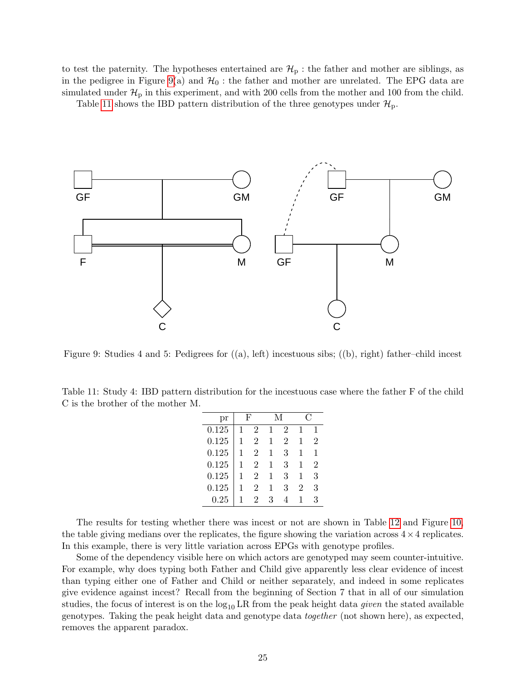to test the paternity. The hypotheses entertained are  $\mathcal{H}_{\rm p}$ : the father and mother are siblings, as in the pedigree in Figure [9\(](#page-24-0)a) and  $\mathcal{H}_0$ : the father and mother are unrelated. The EPG data are simulated under  $\mathcal{H}_{\rm p}$  in this experiment, and with 200 cells from the mother and 100 from the child.

Table [11](#page-24-1) shows the IBD pattern distribution of the three genotypes under  $\mathcal{H}_{p}$ .



<span id="page-24-0"></span>Figure 9: Studies 4 and 5: Pedigrees for  $((a), \text{ left})$  incestuous sibs;  $((b), \text{ right})$  father–child incest

<span id="page-24-1"></span>Table 11: Study 4: IBD pattern distribution for the incestuous case where the father F of the child C is the brother of the mother M.

| рr         |   | F |   |   |   |   |
|------------|---|---|---|---|---|---|
| 0.125      |   | 2 |   | 2 | 1 |   |
| 0.125      |   | 2 | 1 | 2 | 1 | 2 |
| 0.125      |   | 2 |   | 3 | 1 |   |
| 0.125      |   | 2 | 1 | 3 | 1 | 2 |
| 0.125      | 1 | 2 | 1 | 3 | 1 | 3 |
| 0.125      |   | 2 |   | 3 | 2 | 3 |
| $\rm 0.25$ |   | 2 | 3 |   |   | 3 |

The results for testing whether there was incest or not are shown in Table [12](#page-25-0) and Figure [10,](#page-25-1) the table giving medians over the replicates, the figure showing the variation across  $4 \times 4$  replicates. In this example, there is very little variation across EPGs with genotype profiles.

Some of the dependency visible here on which actors are genotyped may seem counter-intuitive. For example, why does typing both Father and Child give apparently less clear evidence of incest than typing either one of Father and Child or neither separately, and indeed in some replicates give evidence against incest? Recall from the beginning of Section 7 that in all of our simulation studies, the focus of interest is on the  $log_{10} LR$  from the peak height data given the stated available genotypes. Taking the peak height data and genotype data together (not shown here), as expected, removes the apparent paradox.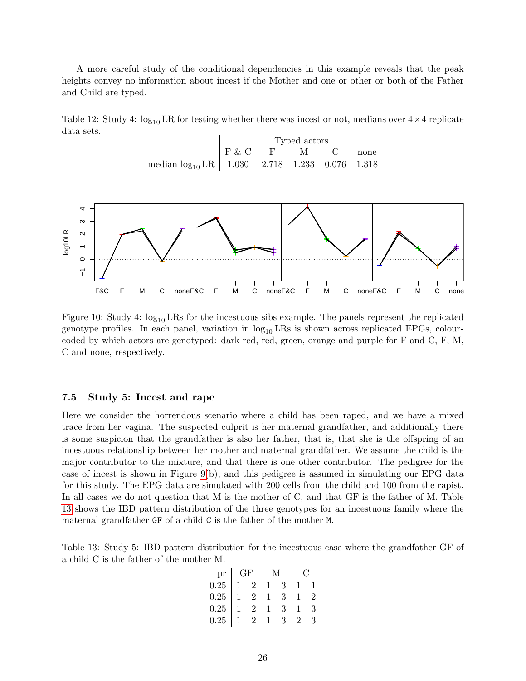A more careful study of the conditional dependencies in this example reveals that the peak heights convey no information about incest if the Mother and one or other or both of the Father and Child are typed.

<span id="page-25-0"></span>Table 12: Study 4:  $\log_{10} LR$  for testing whether there was incest or not, medians over  $4 \times 4$  replicate data sets.

|                                                       | Typed actors |  |   |  |      |
|-------------------------------------------------------|--------------|--|---|--|------|
|                                                       | F & C        |  | M |  | none |
| median $\log_{10}$ LR   1.030 2.718 1.233 0.076 1.318 |              |  |   |  |      |



<span id="page-25-1"></span>Figure 10: Study 4:  $\log_{10}$  LRs for the incestuous sibs example. The panels represent the replicated genotype profiles. In each panel, variation in  $\log_{10} LRS$  is shown across replicated EPGs, colourcoded by which actors are genotyped: dark red, red, green, orange and purple for F and C, F, M, C and none, respectively.

### 7.5 Study 5: Incest and rape

Here we consider the horrendous scenario where a child has been raped, and we have a mixed trace from her vagina. The suspected culprit is her maternal grandfather, and additionally there is some suspicion that the grandfather is also her father, that is, that she is the offspring of an incestuous relationship between her mother and maternal grandfather. We assume the child is the major contributor to the mixture, and that there is one other contributor. The pedigree for the case of incest is shown in Figure [9\(](#page-24-0)b), and this pedigree is assumed in simulating our EPG data for this study. The EPG data are simulated with 200 cells from the child and 100 from the rapist. In all cases we do not question that M is the mother of C, and that GF is the father of M. Table [13](#page-25-2) shows the IBD pattern distribution of the three genotypes for an incestuous family where the maternal grandfather GF of a child C is the father of the mother M.

<span id="page-25-2"></span>Table 13: Study 5: IBD pattern distribution for the incestuous case where the grandfather GF of a child C is the father of the mother M.

| pr       | GF             |    |   |
|----------|----------------|----|---|
| $0.25\,$ | $\overline{2}$ | -3 |   |
| 0.25     | $\dot{2}$      | 3  |   |
| 0.25     |                | 3  | 3 |
| 0.25     |                | З  |   |
|          |                |    |   |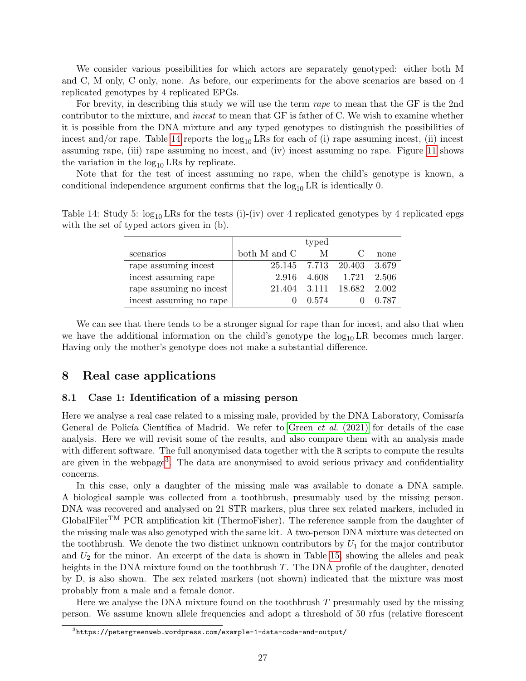We consider various possibilities for which actors are separately genotyped: either both M and C, M only, C only, none. As before, our experiments for the above scenarios are based on 4 replicated genotypes by 4 replicated EPGs.

For brevity, in describing this study we will use the term rape to mean that the GF is the 2nd contributor to the mixture, and incest to mean that GF is father of C. We wish to examine whether it is possible from the DNA mixture and any typed genotypes to distinguish the possibilities of incest and/or rape. Table [14](#page-26-0) reports the  $log_{10} LRs$  for each of (i) rape assuming incest, (ii) incest assuming rape, (iii) rape assuming no incest, and (iv) incest assuming no rape. Figure [11](#page-27-0) shows the variation in the  $log_{10}$  LRs by replicate.

Note that for the test of incest assuming no rape, when the child's genotype is known, a conditional independence argument confirms that the  $\log_{10} LR$  is identically 0.

| Table 14: Study 5: $\log_{10}$ LRs for the tests (i)-(iv) over 4 replicated genotypes by 4 replicated epgs |  |  |  |
|------------------------------------------------------------------------------------------------------------|--|--|--|
| with the set of typed actors given in (b).                                                                 |  |  |  |
|                                                                                                            |  |  |  |

<span id="page-26-0"></span>

|                         |              | typed |                     |         |
|-------------------------|--------------|-------|---------------------|---------|
| scenarios               | both M and C | M     |                     | none    |
| rape assuming incest    |              |       | 25.145 7.713 20.403 | - 3.679 |
| incest assuming rape    | 2.916        | 4.608 | 1.721               | - 2.506 |
| rape assuming no incest | 21.404 3.111 |       | 18.682              | 2.002   |
| incest assuming no rape |              | 0.574 |                     | 0.787   |

We can see that there tends to be a stronger signal for rape than for incest, and also that when we have the additional information on the child's genotype the  $log_{10}LR$  becomes much larger. Having only the mother's genotype does not make a substantial difference.

### 8 Real case applications

### 8.1 Case 1: Identification of a missing person

Here we analyse a real case related to a missing male, provided by the DNA Laboratory, Comisaría General de Policía Científica of Madrid. We refer to Green *et al.*  $(2021)$  for details of the case analysis. Here we will revisit some of the results, and also compare them with an analysis made with different software. The full anonymised data together with the R scripts to compute the results are given in the webpage<sup>[3](#page-26-1)</sup>. The data are anonymised to avoid serious privacy and confidentiality concerns.

In this case, only a daughter of the missing male was available to donate a DNA sample. A biological sample was collected from a toothbrush, presumably used by the missing person. DNA was recovered and analysed on 21 STR markers, plus three sex related markers, included in GlobalFiler<sup>TM</sup> PCR amplification kit (ThermoFisher). The reference sample from the daughter of the missing male was also genotyped with the same kit. A two-person DNA mixture was detected on the toothbrush. We denote the two distinct unknown contributors by  $U_1$  for the major contributor and  $U_2$  for the minor. An excerpt of the data is shown in Table [15,](#page-28-0) showing the alleles and peak heights in the DNA mixture found on the toothbrush T. The DNA profile of the daughter, denoted by D, is also shown. The sex related markers (not shown) indicated that the mixture was most probably from a male and a female donor.

Here we analyse the DNA mixture found on the toothbrush  $T$  presumably used by the missing person. We assume known allele frequencies and adopt a threshold of 50 rfus (relative florescent

<span id="page-26-1"></span> $^3$ https://petergreenweb.wordpress.com/example-1-data-code-and-output/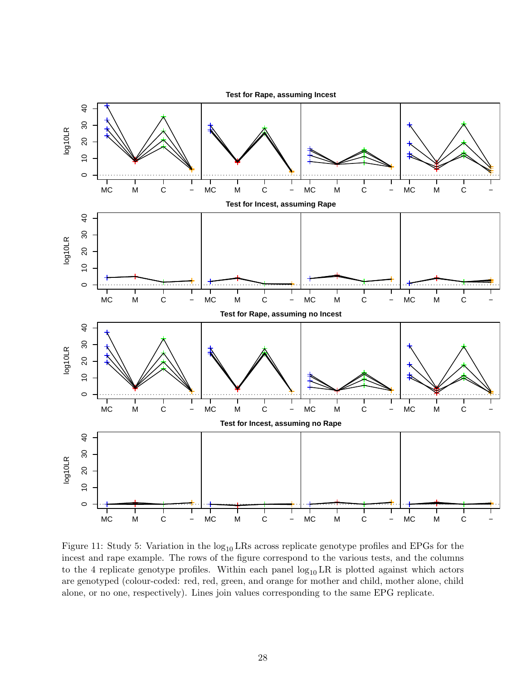

<span id="page-27-0"></span>Figure 11: Study 5: Variation in the  $log_{10}$  LRs across replicate genotype profiles and EPGs for the incest and rape example. The rows of the figure correspond to the various tests, and the columns to the 4 replicate genotype profiles. Within each panel  $log_{10} LR$  is plotted against which actors are genotyped (colour-coded: red, red, green, and orange for mother and child, mother alone, child alone, or no one, respectively). Lines join values corresponding to the same EPG replicate.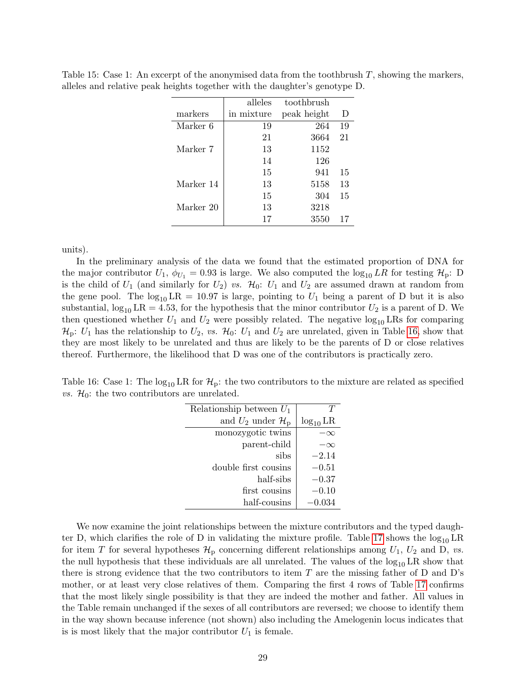|           | alleles    | toothbrush  |    |
|-----------|------------|-------------|----|
| markers   | in mixture | peak height | D  |
| Marker 6  | 19         | 264         | 19 |
|           | 21         | 3664        | 21 |
| Marker 7  | 13         | 1152        |    |
|           | 14         | 126         |    |
|           | 15         | 941         | 15 |
| Marker 14 | 13         | 5158        | 13 |
|           | 15         | 304         | 15 |
| Marker 20 | 13         | 3218        |    |
|           | 17         | 3550        | 17 |

<span id="page-28-0"></span>Table 15: Case 1: An excerpt of the anonymised data from the toothbrush  $T$ , showing the markers, alleles and relative peak heights together with the daughter's genotype D.

units).

In the preliminary analysis of the data we found that the estimated proportion of DNA for the major contributor  $U_1$ ,  $\phi_{U_1} = 0.93$  is large. We also computed the  $\log_{10} LR$  for testing  $\mathcal{H}_p$ : D is the child of  $U_1$  (and similarly for  $U_2$ ) vs.  $\mathcal{H}_0: U_1$  and  $U_2$  are assumed drawn at random from the gene pool. The  $log_{10} LR = 10.97$  is large, pointing to  $U_1$  being a parent of D but it is also substantial,  $\log_{10} LR = 4.53$ , for the hypothesis that the minor contributor  $U_2$  is a parent of D. We then questioned whether  $U_1$  and  $U_2$  were possibly related. The negative  $\log_{10} \text{LRs}$  for comparing  $\mathcal{H}_p: U_1$  has the relationship to  $U_2$ , vs.  $\mathcal{H}_0: U_1$  and  $U_2$  are unrelated, given in Table [16,](#page-28-1) show that they are most likely to be unrelated and thus are likely to be the parents of D or close relatives thereof. Furthermore, the likelihood that D was one of the contributors is practically zero.

<span id="page-28-1"></span>Table 16: Case 1: The  $log_{10}$  LR for  $\mathcal{H}_p$ : the two contributors to the mixture are related as specified *vs.*  $\mathcal{H}_0$ : the two contributors are unrelated.

| Relationship between $U_1$             |               |
|----------------------------------------|---------------|
| and $U_2$ under $\mathcal{H}_\text{D}$ | $log_{10}$ LR |
| monozygotic twins                      |               |
| parent-child                           | $\propto$     |
| sibs                                   | $-2.14$       |
| double first cousins                   | $-0.51$       |
| half-sibs                              | $-0.37$       |
| first cousins                          | $-0.10$       |
| half-cousins                           | $-0.034$      |

We now examine the joint relationships between the mixture contributors and the typed daugh-ter D, which clarifies the role of D in validating the mixture profile. Table [17](#page-29-0) shows the  $log_{10}LR$ for item T for several hypotheses  $\mathcal{H}_{\text{p}}$  concerning different relationships among  $U_1$ ,  $U_2$  and D, vs. the null hypothesis that these individuals are all unrelated. The values of the  $log_{10}LR$  show that there is strong evidence that the two contributors to item  $T$  are the missing father of D and D's mother, or at least very close relatives of them. Comparing the first 4 rows of Table [17](#page-29-0) confirms that the most likely single possibility is that they are indeed the mother and father. All values in the Table remain unchanged if the sexes of all contributors are reversed; we choose to identify them in the way shown because inference (not shown) also including the Amelogenin locus indicates that is is most likely that the major contributor  $U_1$  is female.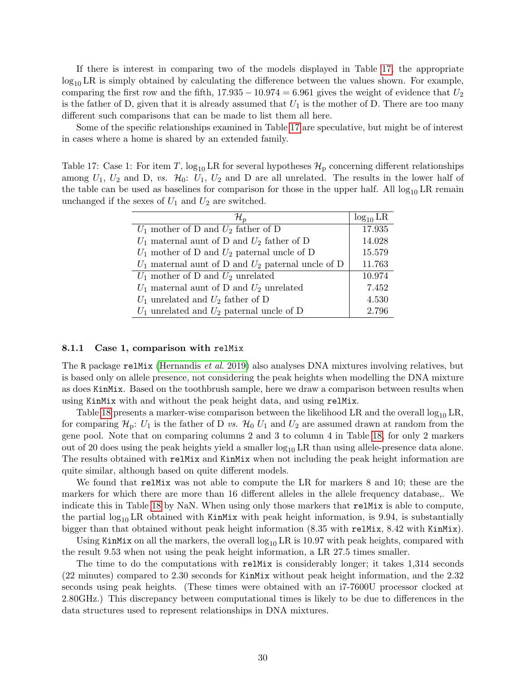If there is interest in comparing two of the models displayed in Table [17,](#page-29-0) the appropriate  $\log_{10}$  LR is simply obtained by calculating the difference between the values shown. For example, comparing the first row and the fifth,  $17.935 - 10.974 = 6.961$  gives the weight of evidence that  $U_2$ is the father of D, given that it is already assumed that  $U_1$  is the mother of D. There are too many different such comparisons that can be made to list them all here.

Some of the specific relationships examined in Table [17](#page-29-0) are speculative, but might be of interest in cases where a home is shared by an extended family.

<span id="page-29-0"></span>Table 17: Case 1: For item T,  $\log_{10}$  LR for several hypotheses  $\mathcal{H}_D$  concerning different relationships among  $U_1, U_2$  and D, vs.  $\mathcal{H}_0: U_1, U_2$  and D are all unrelated. The results in the lower half of the table can be used as baselines for comparison for those in the upper half. All  $log_{10} LR$  remain unchanged if the sexes of  $U_1$  and  $U_2$  are switched.

| $\mathcal{H}_p$                                        | $log_{10} LR$ |
|--------------------------------------------------------|---------------|
| $U_1$ mother of D and $U_2$ father of D                | 17.935        |
| $U_1$ maternal aunt of D and $U_2$ father of D         | 14.028        |
| $U_1$ mother of D and $U_2$ paternal uncle of D        | 15.579        |
| $U_1$ maternal aunt of D and $U_2$ paternal uncle of D | 11.763        |
| $U_1$ mother of D and $U_2$ unrelated                  | 10.974        |
| $U_1$ maternal aunt of D and $U_2$ unrelated           | 7.452         |
| $U_1$ unrelated and $U_2$ father of D                  | 4.530         |
| $U_1$ unrelated and $U_2$ paternal uncle of D          | 2.796         |

#### 8.1.1 Case 1, comparison with relMix

The R package relMix [\(Hernandis](#page-33-2) et al. 2019) also analyses DNA mixtures involving relatives, but is based only on allele presence, not considering the peak heights when modelling the DNA mixture as does KinMix. Based on the toothbrush sample, here we draw a comparison between results when using KinMix with and without the peak height data, and using relMix.

Table [18](#page-30-0) presents a marker-wise comparison between the likelihood LR and the overall  $\log_{10}$  LR, for comparing  $\mathcal{H}_p: U_1$  is the father of D vs.  $\mathcal{H}_0$  U<sub>1</sub> and U<sub>2</sub> are assumed drawn at random from the gene pool. Note that on comparing columns 2 and 3 to column 4 in Table [18,](#page-30-0) for only 2 markers out of 20 does using the peak heights yield a smaller  $log_{10} LR$  than using allele-presence data alone. The results obtained with relMix and KinMix when not including the peak height information are quite similar, although based on quite different models.

We found that relMix was not able to compute the LR for markers 8 and 10; these are the markers for which there are more than 16 different alleles in the allele frequency database,. We indicate this in Table [18](#page-30-0) by NaN. When using only those markers that relMix is able to compute, the partial  $\log_{10} LR$  obtained with KinMix with peak height information, is 9.94, is substantially bigger than that obtained without peak height information  $(8.35 \text{ with } \text{relu}x, 8.42 \text{ with } \text{KinMix}).$ 

Using KinMix on all the markers, the overall  $\log_{10} LR$  is 10.97 with peak heights, compared with the result 9.53 when not using the peak height information, a LR 27.5 times smaller.

The time to do the computations with relMix is considerably longer; it takes 1,314 seconds (22 minutes) compared to 2.30 seconds for KinMix without peak height information, and the 2.32 seconds using peak heights. (These times were obtained with an i7-7600U processor clocked at 2.80GHz.) This discrepancy between computational times is likely to be due to differences in the data structures used to represent relationships in DNA mixtures.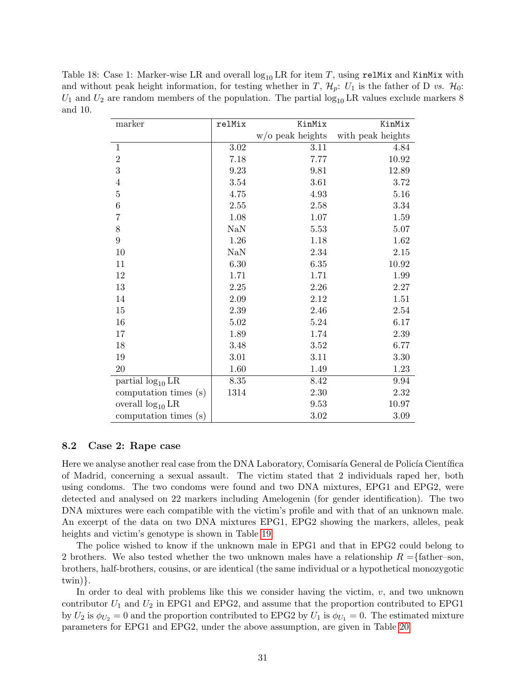<span id="page-30-0"></span>Table 18: Case 1: Marker-wise LR and overall  $log_{10}$  LR for item T, using relMix and KinMix with and without peak height information, for testing whether in T,  $\mathcal{H}_p$ :  $U_1$  is the father of D vs.  $\mathcal{H}_0$ :  $U_1$  and  $U_2$  are random members of the population. The partial  $\log_{10} LR$  values exclude markers 8 and 10.

| marker                | relMix           | KinMix             | KinMix            |
|-----------------------|------------------|--------------------|-------------------|
|                       |                  | $w/o$ peak heights | with peak heights |
| $1\,$                 | 3.02             | 3.11               | 4.84              |
| $\overline{2}$        | 7.18             | 7.77               | 10.92             |
| 3                     | 9.23             | 9.81               | 12.89             |
| $\,4\,$               | 3.54             | 3.61               | 3.72              |
| $\overline{5}$        | 4.75             | 4.93               | 5.16              |
| $\boldsymbol{6}$      | 2.55             | 2.58               | 3.34              |
| $\overline{7}$        | 1.08             | 1.07               | 1.59              |
| 8                     | N <sub>a</sub> N | 5.53               | 5.07              |
| $\overline{9}$        | 1.26             | 1.18               | 1.62              |
| 10                    | <b>NaN</b>       | 2.34               | 2.15              |
| 11                    | 6.30             | 6.35               | 10.92             |
| 12                    | 1.71             | 1.71               | 1.99              |
| 13                    | 2.25             | 2.26               | 2.27              |
| 14                    | 2.09             | 2.12               | 1.51              |
| 15                    | 2.39             | 2.46               | 2.54              |
| 16                    | 5.02             | 5.24               | 6.17              |
| 17                    | 1.89             | 1.74               | 2.39              |
| 18                    | 3.48             | 3.52               | 6.77              |
| 19                    | 3.01             | 3.11               | 3.30              |
| $20\,$                | 1.60             | 1.49               | 1.23              |
| partial $log_{10}$ LR | 8.35             | 8.42               | 9.94              |
| computation times (s) | 1314             | $2.30\,$           | $2.32\,$          |
| overall $log_{10}$ LR |                  | 9.53               | 10.97             |
| computation times (s) |                  | 3.02               | 3.09              |

#### 8.2 Case 2: Rape case

Here we analyse another real case from the DNA Laboratory, Comisaría General de Policía Científica of Madrid, concerning a sexual assault. The victim stated that 2 individuals raped her, both using condoms. The two condoms were found and two DNA mixtures, EPG1 and EPG2, were detected and analysed on 22 markers including Amelogenin (for gender identification). The two DNA mixtures were each compatible with the victim's profile and with that of an unknown male. An excerpt of the data on two DNA mixtures EPG1, EPG2 showing the markers, alleles, peak heights and victim's genotype is shown in Table [19.](#page-31-0)

The police wished to know if the unknown male in EPG1 and that in EPG2 could belong to 2 brothers. We also tested whether the two unknown males have a relationship  $R = \{\text{father—son},\}$ brothers, half-brothers, cousins, or are identical (the same individual or a hypothetical monozygotic twin)}.

In order to deal with problems like this we consider having the victim,  $v$ , and two unknown contributor  $U_1$  and  $U_2$  in EPG1 and EPG2, and assume that the proportion contributed to EPG1 by  $U_2$  is  $\phi_{U_2} = 0$  and the proportion contributed to EPG2 by  $U_1$  is  $\phi_{U_1} = 0$ . The estimated mixture parameters for EPG1 and EPG2, under the above assumption, are given in Table [20.](#page-31-1)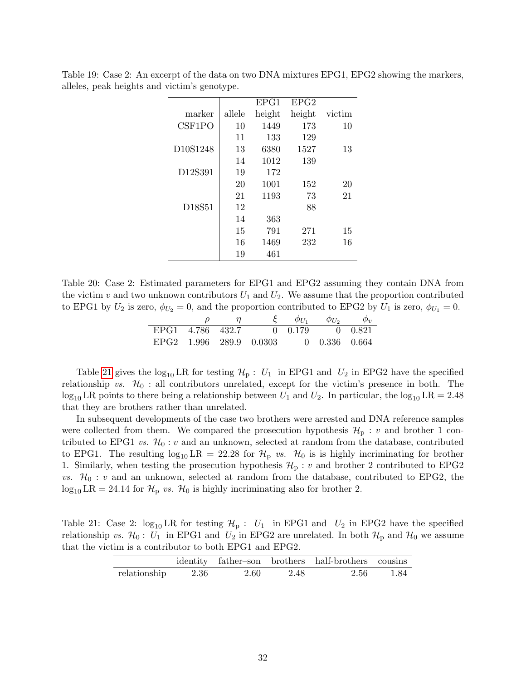|                                   |        | EPG1   | EPG2   |        |
|-----------------------------------|--------|--------|--------|--------|
| marker                            | allele | height | height | victim |
| CSF1PO                            | 10     | 1449   | 173    | 10     |
|                                   | 11     | 133    | 129    |        |
| D <sub>10</sub> S <sub>1248</sub> | 13     | 6380   | 1527   | 13     |
|                                   | 14     | 1012   | 139    |        |
| D <sub>12</sub> S <sub>391</sub>  | 19     | 172    |        |        |
|                                   | 20     | 1001   | 152    | 20     |
|                                   | 21     | 1193   | 73     | 21     |
| D18S51                            | 12     |        | 88     |        |
|                                   | 14     | 363    |        |        |
|                                   | 15     | 791    | 271    | 15     |
|                                   | 16     | 1469   | 232    | 16     |
|                                   | 19     | 461    |        |        |

<span id="page-31-0"></span>Table 19: Case 2: An excerpt of the data on two DNA mixtures EPG1, EPG2 showing the markers, alleles, peak heights and victim's genotype.

<span id="page-31-1"></span>Table 20: Case 2: Estimated parameters for EPG1 and EPG2 assuming they contain DNA from the victim v and two unknown contributors  $U_1$  and  $U_2$ . We assume that the proportion contributed to EPG1 by  $U_2$  is zero,  $\phi_{U_2} = 0$ , and the proportion contributed to EPG2 by  $U_1$  is zero,  $\phi_{U_1} = 0$ .

| $\omega$         | $\eta$ |                                       | $\phi_{U_1}$ | $\phi_{U_2}$ | $\phi_{v}$ |
|------------------|--------|---------------------------------------|--------------|--------------|------------|
| EPG1 4.786 432.7 |        | $0 \t 0.179 \t 0.821$                 |              |              |            |
|                  |        | EPG2 1.996 289.9 0.0303 0 0.336 0.664 |              |              |            |

Table [21](#page-31-2) gives the  $log_{10} LR$  for testing  $\mathcal{H}_p : U_1$  in EPG1 and  $U_2$  in EPG2 have the specified relationship vs.  $\mathcal{H}_0$  : all contributors unrelated, except for the victim's presence in both. The  $\log_{10}$  LR points to there being a relationship between  $U_1$  and  $U_2$ . In particular, the  $\log_{10}$  LR = 2.48 that they are brothers rather than unrelated.

In subsequent developments of the case two brothers were arrested and DNA reference samples were collected from them. We compared the prosecution hypothesis  $\mathcal{H}_p : v$  and brother 1 contributed to EPG1 vs.  $\mathcal{H}_0: v$  and an unknown, selected at random from the database, contributed to EPG1. The resulting  $\log_{10} LR = 22.28$  for  $\mathcal{H}_p$  vs.  $\mathcal{H}_0$  is is highly incriminating for brother 1. Similarly, when testing the prosecution hypothesis  $\mathcal{H}_p$ : v and brother 2 contributed to EPG2 vs.  $\mathcal{H}_0$ : v and an unknown, selected at random from the database, contributed to EPG2, the  $\log_{10}$  LR = 24.14 for  $\mathcal{H}_p$  vs.  $\mathcal{H}_0$  is highly incriminating also for brother 2.

Table 21: Case 2:  $\log_{10}$  LR for testing  $\mathcal{H}_p$  :  $U_1$  in EPG1 and  $U_2$  in EPG2 have the specified relationship vs.  $\mathcal{H}_0$ :  $U_1$  in EPG1 and  $U_2$  in EPG2 are unrelated. In both  $\mathcal{H}_p$  and  $\mathcal{H}_0$  we assume that the victim is a contributor to both EPG1 and EPG2.

<span id="page-31-2"></span>

|                                   |  | identity father-son brothers half-brothers cousins |  |
|-----------------------------------|--|----------------------------------------------------|--|
| relationship $2.36$ $2.60$ $2.48$ |  | 2.56 1.84                                          |  |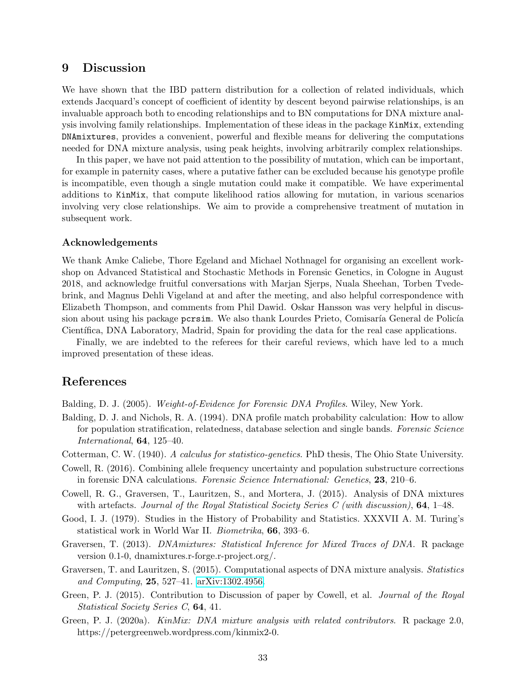### 9 Discussion

We have shown that the IBD pattern distribution for a collection of related individuals, which extends Jacquard's concept of coefficient of identity by descent beyond pairwise relationships, is an invaluable approach both to encoding relationships and to BN computations for DNA mixture analysis involving family relationships. Implementation of these ideas in the package KinMix, extending DNAmixtures, provides a convenient, powerful and flexible means for delivering the computations needed for DNA mixture analysis, using peak heights, involving arbitrarily complex relationships.

In this paper, we have not paid attention to the possibility of mutation, which can be important, for example in paternity cases, where a putative father can be excluded because his genotype profile is incompatible, even though a single mutation could make it compatible. We have experimental additions to KinMix, that compute likelihood ratios allowing for mutation, in various scenarios involving very close relationships. We aim to provide a comprehensive treatment of mutation in subsequent work.

#### Acknowledgements

We thank Amke Caliebe, Thore Egeland and Michael Nothnagel for organising an excellent workshop on Advanced Statistical and Stochastic Methods in Forensic Genetics, in Cologne in August 2018, and acknowledge fruitful conversations with Marjan Sjerps, Nuala Sheehan, Torben Tvedebrink, and Magnus Dehli Vigeland at and after the meeting, and also helpful correspondence with Elizabeth Thompson, and comments from Phil Dawid. Oskar Hansson was very helpful in discussion about using his package pcrsim. We also thank Lourdes Prieto, Comisaría General de Policía Científica, DNA Laboratory, Madrid, Spain for providing the data for the real case applications.

Finally, we are indebted to the referees for their careful reviews, which have led to a much improved presentation of these ideas.

### References

<span id="page-32-1"></span>Balding, D. J. (2005). Weight-of-Evidence for Forensic DNA Profiles. Wiley, New York.

- <span id="page-32-7"></span>Balding, D. J. and Nichols, R. A. (1994). DNA profile match probability calculation: How to allow for population stratification, relatedness, database selection and single bands. Forensic Science International, 64, 125–40.
- <span id="page-32-5"></span>Cotterman, C. W. (1940). A calculus for statistico-genetics. PhD thesis, The Ohio State University.
- <span id="page-32-9"></span>Cowell, R. (2016). Combining allele frequency uncertainty and population substructure corrections in forensic DNA calculations. Forensic Science International: Genetics, 23, 210–6.
- <span id="page-32-0"></span>Cowell, R. G., Graversen, T., Lauritzen, S., and Mortera, J. (2015). Analysis of DNA mixtures with artefacts. Journal of the Royal Statistical Society Series C (with discussion),  $64$ , 1–48.
- <span id="page-32-2"></span>Good, I. J. (1979). Studies in the History of Probability and Statistics. XXXVII A. M. Turing's statistical work in World War II. Biometrika, 66, 393–6.
- <span id="page-32-3"></span>Graversen, T. (2013). DNAmixtures: Statistical Inference for Mixed Traces of DNA. R package version 0.1-0, dnamixtures.r-forge.r-project.org/.
- <span id="page-32-6"></span>Graversen, T. and Lauritzen, S. (2015). Computational aspects of DNA mixture analysis. Statistics and Computing, 25, 527–41. [arXiv:1302.4956.](http://arxiv.org/abs/1302.4956)
- <span id="page-32-8"></span>Green, P. J. (2015). Contribution to Discussion of paper by Cowell, et al. *Journal of the Royal* Statistical Society Series C, 64, 41.
- <span id="page-32-4"></span>Green, P. J. (2020a). KinMix: DNA mixture analysis with related contributors. R package 2.0, https://petergreenweb.wordpress.com/kinmix2-0.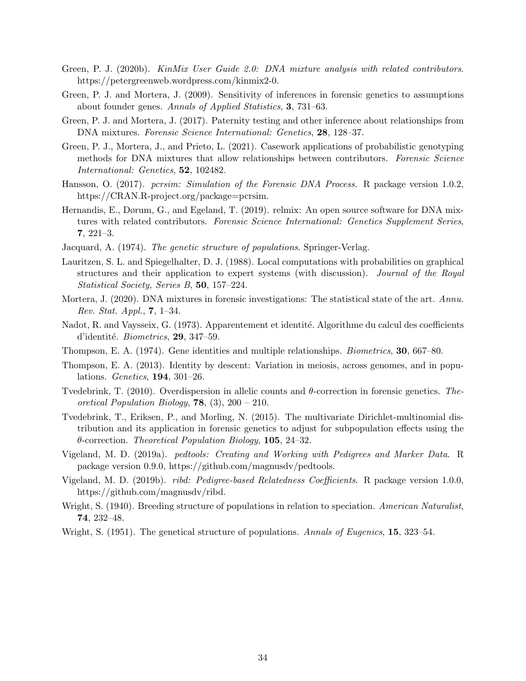- <span id="page-33-15"></span>Green, P. J. (2020b). KinMix User Guide 2.0: DNA mixture analysis with related contributors. https://petergreenweb.wordpress.com/kinmix2-0.
- <span id="page-33-12"></span>Green, P. J. and Mortera, J. (2009). Sensitivity of inferences in forensic genetics to assumptions about founder genes. Annals of Applied Statistics, 3, 731–63.
- <span id="page-33-1"></span>Green, P. J. and Mortera, J. (2017). Paternity testing and other inference about relationships from DNA mixtures. Forensic Science International: Genetics, 28, 128-37.
- <span id="page-33-17"></span>Green, P. J., Mortera, J., and Prieto, L. (2021). Casework applications of probabilistic genotyping methods for DNA mixtures that allow relationships between contributors. Forensic Science International: Genetics, **52**, 102482.
- <span id="page-33-16"></span>Hansson, O. (2017). *pcrsim: Simulation of the Forensic DNA Process.* R package version 1.0.2, https://CRAN.R-project.org/package=pcrsim.
- <span id="page-33-2"></span>Hernandis, E., Dørum, G., and Egeland, T. (2019). relmix: An open source software for DNA mixtures with related contributors. Forensic Science International: Genetics Supplement Series, 7, 221–3.
- <span id="page-33-5"></span>Jacquard, A. (1974). The genetic structure of populations. Springer-Verlag.
- <span id="page-33-9"></span>Lauritzen, S. L. and Spiegelhalter, D. J. (1988). Local computations with probabilities on graphical structures and their application to expert systems (with discussion). Journal of the Royal Statistical Society, Series B, 50, 157–224.
- <span id="page-33-0"></span>Mortera, J. (2020). DNA mixtures in forensic investigations: The statistical state of the art. Annu. Rev. Stat. Appl., 7, 1–34.
- <span id="page-33-4"></span>Nadot, R. and Vaysseix, G. (1973). Apparentement et identité. Algorithme du calcul des coefficients d'identité. Biometrics,  $29, 347-59$ .
- <span id="page-33-8"></span>Thompson, E. A. (1974). Gene identities and multiple relationships. Biometrics, 30, 667–80.
- <span id="page-33-3"></span>Thompson, E. A. (2013). Identity by descent: Variation in meiosis, across genomes, and in populations. Genetics, 194, 301–26.
- <span id="page-33-13"></span>Tvedebrink, T. (2010). Overdispersion in allelic counts and θ-correction in forensic genetics. Theoretical Population Biology, **78**,  $(3)$ ,  $200 - 210$ .
- <span id="page-33-14"></span>Tvedebrink, T., Eriksen, P., and Morling, N. (2015). The multivariate Dirichlet-multinomial distribution and its application in forensic genetics to adjust for subpopulation effects using the  $\theta$ -correction. Theoretical Population Biology, 105, 24–32.
- <span id="page-33-7"></span>Vigeland, M. D. (2019a). pedtools: Creating and Working with Pedigrees and Marker Data. R package version 0.9.0, https://github.com/magnusdv/pedtools.
- <span id="page-33-6"></span>Vigeland, M. D. (2019b). ribd: Pedigree-based Relatedness Coefficients. R package version 1.0.0, https://github.com/magnusdv/ribd.
- <span id="page-33-10"></span>Wright, S. (1940). Breeding structure of populations in relation to speciation. American Naturalist, 74, 232–48.
- <span id="page-33-11"></span>Wright, S. (1951). The genetical structure of populations. Annals of Eugenics, 15, 323–54.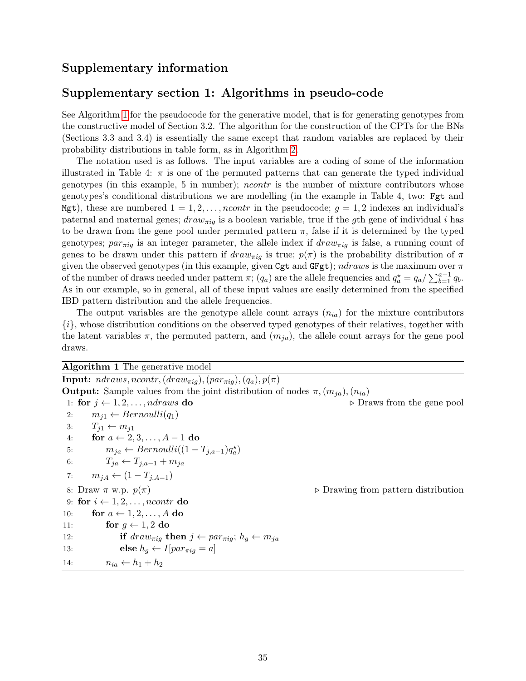### Supplementary information

### Supplementary section 1: Algorithms in pseudo-code

See Algorithm [1](#page-34-0) for the pseudocode for the generative model, that is for generating genotypes from the constructive model of Section 3.2. The algorithm for the construction of the CPTs for the BNs (Sections 3.3 and 3.4) is essentially the same except that random variables are replaced by their probability distributions in table form, as in Algorithm [2.](#page-35-0)

The notation used is as follows. The input variables are a coding of some of the information illustrated in Table 4:  $\pi$  is one of the permuted patterns that can generate the typed individual genotypes (in this example, 5 in number); ncontr is the number of mixture contributors whose genotypes's conditional distributions we are modelling (in the example in Table 4, two: Fgt and Mgt), these are numbered  $1 = 1, 2, \ldots, ncontr$  in the pseudocode;  $g = 1, 2$  indexes an individual's paternal and maternal genes;  $draw_{\pi ig}$  is a boolean variable, true if the gth gene of individual i has to be drawn from the gene pool under permuted pattern  $\pi$ , false if it is determined by the typed genotypes;  $par_{\pi iq}$  is an integer parameter, the allele index if  $draw_{\pi iq}$  is false, a running count of genes to be drawn under this pattern if  $draw_{\pi i}$  is true;  $p(\pi)$  is the probability distribution of  $\pi$ given the observed genotypes (in this example, given Cgt and GFgt);  $ndraws$  is the maximum over  $\pi$ of the number of draws needed under pattern  $\pi$ ;  $(q_a)$  are the allele frequencies and  $q_a^* = q_a / \sum_{b=1}^{a-1} q_b$ . As in our example, so in general, all of these input values are easily determined from the specified IBD pattern distribution and the allele frequencies.

The output variables are the genotype allele count arrays  $(n_{ia})$  for the mixture contributors {i}, whose distribution conditions on the observed typed genotypes of their relatives, together with the latent variables  $\pi$ , the permuted pattern, and  $(m_{ja})$ , the allele count arrays for the gene pool draws.

<span id="page-34-0"></span>Algorithm 1 The generative model

**Input:**  $ndraws, ncontr, (draw_{\pi iq}), (par_{\pi iq}), (q_a), p(\pi)$ **Output:** Sample values from the joint distribution of nodes  $\pi$ ,  $(m_{ia})$ ,  $(n_{ia})$ 1: for  $j \leftarrow 1, 2, \ldots, ndraws$  do  $\triangleright$  Draws from the gene pool 2:  $m_{i1} \leftarrow Bernoulli(q_1)$ 3:  $T_{i1} \leftarrow m_{i1}$ 4: for  $a \leftarrow 2, 3, \ldots, A-1$  do 5:  $m_{ja} \leftarrow Bernoulli((1 - T_{j,a-1})q_a^{\star})$ 6:  $T_{ja} \leftarrow T_{j,a-1} + m_{ja}$ 7:  $m_{jA} \leftarrow (1 - T_{j,A-1})$ 8: Draw  $\pi$  w.p.  $p(\pi)$  . Drawing from pattern distribution 9: for  $i \leftarrow 1, 2, \ldots,$  ncontr do 10: for  $a \leftarrow 1, 2, \ldots, A$  do 11: for  $g \leftarrow 1, 2$  do 12: **if**  $draw_{\pi i q}$  **then**  $j \leftarrow par_{\pi i q}$ ;  $h_g \leftarrow m_{ja}$ 13: **else**  $h_q \leftarrow I[par_{\pi i q} = a]$ 14:  $n_{ia} \leftarrow h_1 + h_2$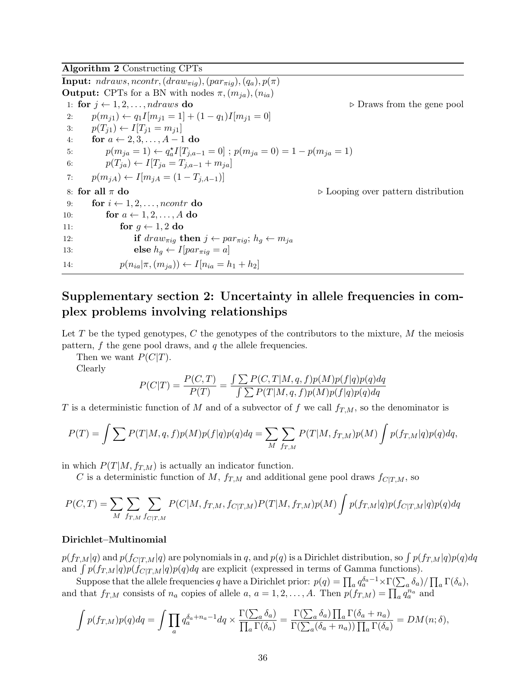<span id="page-35-0"></span>Algorithm 2 Constructing CPTs

**Input:**  $ndraws, ncontr, (draw_{\pi ig}), (par_{\pi ig}), (q_a), p(\pi)$ **Output:** CPTs for a BN with nodes  $\pi$ ,  $(m_{ja})$ ,  $(n_{ia})$ 1: for  $j \leftarrow 1, 2, \ldots, ndraws$  do .  $\triangleright$  Draws from the gene pool 2:  $p(m_{i1}) \leftarrow q_1 I[m_{i1} = 1] + (1 - q_1)I[m_{i1} = 0]$ 3:  $p(T_{i1}) \leftarrow I[T_{i1} = m_{i1}]$ 4: for  $a \leftarrow 2, 3, \ldots, A-1$  do 5:  $p(m_{ja} = 1) \leftarrow q_a^{\star} I[T_{j,a-1} = 0]$ ;  $p(m_{ja} = 0) = 1 - p(m_{ja} = 1)$ 6:  $p(T_{ja}) \leftarrow I[T_{ja} = T_{j,a-1} + m_{ja}]$ 7:  $p(m_{iA}) \leftarrow I[m_{iA} = (1 - T_{i,A-1})]$ 8: for all  $\pi$  do . Looping over pattern distribution 9: for  $i \leftarrow 1, 2, \ldots,$  ncontr do 10: for  $a \leftarrow 1, 2, \ldots, A$  do 11: for  $g \leftarrow 1, 2$  do 12: **if**  $draw_{\pi i q}$  **then**  $j \leftarrow par_{\pi i q}$ ;  $h_q \leftarrow m_{ja}$ 13: **else**  $h_q \leftarrow I[par_{\pi i q} = a]$ 14:  $p(n_{ia}|\pi,(m_{ja})) \leftarrow I[n_{ia} = h_1 + h_2]$ 

# Supplementary section 2: Uncertainty in allele frequencies in complex problems involving relationships

Let T be the typed genotypes, C the genotypes of the contributors to the mixture,  $M$  the meiosis pattern,  $f$  the gene pool draws, and  $q$  the allele frequencies.

Then we want  $P(C|T)$ .

Clearly

$$
P(C|T) = \frac{P(C,T)}{P(T)} = \frac{\int \sum P(C,T|M,q,f)p(M)p(f|q)p(q)dq}{\int \sum P(T|M,q,f)p(M)p(f|q)p(q)dq}
$$

T is a deterministic function of M and of a subvector of f we call  $f_{T,M}$ , so the denominator is

$$
P(T) = \int \sum P(T|M, q, f)p(M)p(f|q)p(q)dq = \sum_{M} \sum_{fr,M} P(T|M, f_{T,M})p(M) \int p(f_{T,M}|q)p(q)dq,
$$

in which  $P(T|M, f_{T,M})$  is actually an indicator function.

C is a deterministic function of M,  $f_{T,M}$  and additional gene pool draws  $f_{C|T,M}$ , so

$$
P(C,T) = \sum_{M} \sum_{f_{T,M}} \sum_{f_{C|T,M}} P(C|M, f_{T,M}, f_{C|T,M}) P(T|M, f_{T,M}) p(M) \int p(f_{T,M}|q) p(f_{C|T,M}|q) p(q) dq
$$

#### Dirichlet–Multinomial

 $p(f_{T,M}|q)$  and  $p(f_{C|T,M}|q)$  are polynomials in  $q,$  and  $p(q)$  is a Dirichlet distribution, so  $\int p(f_{T,M}|q)p(q)dq$ and  $\int p(f_{T,M}|q)p(\hat{f}_{C|T,M}|q)p(q)dq$  are explicit (expressed in terms of Gamma functions).

Suppose that the allele frequencies q have a Dirichlet prior:  $p(q) = \prod_a q_a^{\delta_a - 1} \times \Gamma(\sum_a \delta_a) / \prod_a \Gamma(\delta_a)$ , and that  $f_{T,M}$  consists of  $n_a$  copies of allele  $a, a = 1, 2, ..., A$ . Then  $p(f_{T,M}) = \prod_a q_a^{n_a}$  and

$$
\int p(f_{T,M})p(q)dq = \int \prod_a q_a^{\delta_a + n_a - 1} dq \times \frac{\Gamma(\sum_a \delta_a)}{\prod_a \Gamma(\delta_a)} = \frac{\Gamma(\sum_a \delta_a) \prod_a \Gamma(\delta_a + n_a)}{\Gamma(\sum_a (\delta_a + n_a)) \prod_a \Gamma(\delta_a)} = DM(n; \delta),
$$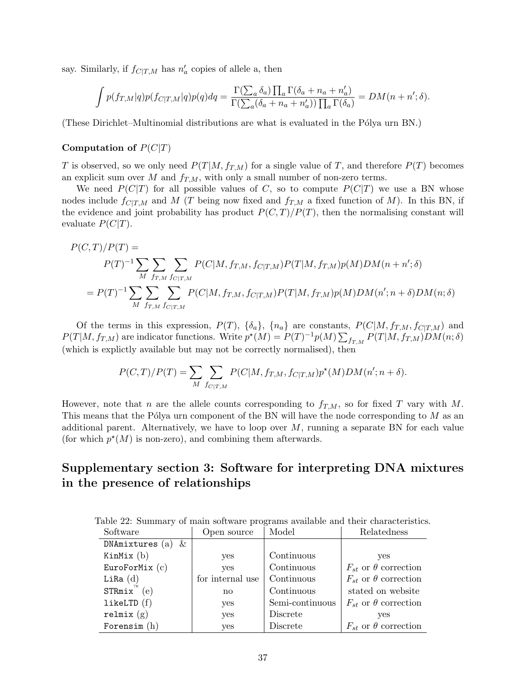say. Similarly, if  $f_{C|T,M}$  has  $n'_a$  copies of allele a, then

$$
\int p(f_{T,M}|q)p(f_{C|T,M}|q)p(q)dq = \frac{\Gamma(\sum_a \delta_a) \prod_a \Gamma(\delta_a + n_a + n'_a)}{\Gamma(\sum_a (\delta_a + n_a + n'_a)) \prod_a \Gamma(\delta_a)} = DM(n+n';\delta).
$$

(These Dirichlet–Multinomial distributions are what is evaluated in the P´olya urn BN.)

### Computation of  $P(C|T)$

T is observed, so we only need  $P(T|M, f_{T,M})$  for a single value of T, and therefore  $P(T)$  becomes an explicit sum over M and  $f_{T,M}$ , with only a small number of non-zero terms.

We need  $P(C|T)$  for all possible values of C, so to compute  $P(C|T)$  we use a BN whose nodes include  $f_{C|T,M}$  and M (T being now fixed and  $f_{T,M}$  a fixed function of M). In this BN, if the evidence and joint probability has product  $P(C, T)/P(T)$ , then the normalising constant will evaluate  $P(C|T)$ .

$$
P(C,T)/P(T) =
$$
  
\n
$$
P(T)^{-1} \sum_{M} \sum_{fr,M} \sum_{f \in T,M} P(C|M, fr,M, f_{C|T,M}) P(T|M, fr,M) p(M) DM(n+n';\delta)
$$
  
\n
$$
= P(T)^{-1} \sum_{M} \sum_{fr,M} \sum_{f \in T,M} P(C|M, fr,M, f_{C|T,M}) P(T|M, fr,M) p(M) DM(n';n+\delta) DM(n;\delta)
$$

Of the terms in this expression,  $P(T)$ ,  $\{\delta_a\}$ ,  $\{n_a\}$  are constants,  $P(C|M, f_{T,M}, f_{C|T,M})$  and  $P(T|M, f_{T,M})$  are indicator functions. Write  $p^*(M) = P(T)^{-1}p(M) \sum_{f_{T,M}} P(T|M, f_{T,M}) D M(n; \delta)$ (which is explictly available but may not be correctly normalised), then

$$
P(C,T)/P(T) = \sum_{M} \sum_{f_{C|T,M}} P(C|M, f_{T,M}, f_{C|T,M}) p^*(M) DM(n'; n + \delta).
$$

However, note that n are the allele counts corresponding to  $f_{T,M}$ , so for fixed T vary with M. This means that the Pólya urn component of the BN will have the node corresponding to  $M$  as an additional parent. Alternatively, we have to loop over  $M$ , running a separate BN for each value (for which  $p^*(M)$  is non-zero), and combining them afterwards.

# Supplementary section 3: Software for interpreting DNA mixtures in the presence of relationships

<span id="page-36-0"></span>

| Software               | Open source      | Model           | Relatedness                     |
|------------------------|------------------|-----------------|---------------------------------|
| DNAmixtures $(a)$<br>& |                  |                 |                                 |
| KinMix $(b)$           | yes              | Continuous      | yes                             |
| EuroForMix $(c)$       | <b>ves</b>       | Continuous      | $F_{st}$ or $\theta$ correction |
| Li $Ra(d)$             | for internal use | Continuous      | $F_{st}$ or $\theta$ correction |
| $STRmix^{\pi}(e)$      | $\mathbf{n}$     | Continuous      | stated on website               |
| likeLTD(f)             | yes              | Semi-continuous | $F_{st}$ or $\theta$ correction |
| relmix $(g)$           | yes              | Discrete        | yes                             |
| Forensim $(h)$         | yes              | Discrete        | $F_{st}$ or $\theta$ correction |

Table 22: Summary of main software programs available and their characteristics.